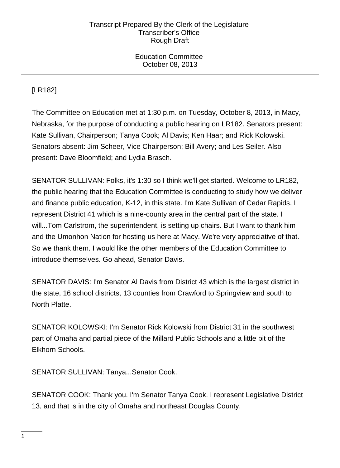Education Committee October 08, 2013

# [LR182]

The Committee on Education met at 1:30 p.m. on Tuesday, October 8, 2013, in Macy, Nebraska, for the purpose of conducting a public hearing on LR182. Senators present: Kate Sullivan, Chairperson; Tanya Cook; Al Davis; Ken Haar; and Rick Kolowski. Senators absent: Jim Scheer, Vice Chairperson; Bill Avery; and Les Seiler. Also present: Dave Bloomfield; and Lydia Brasch.

SENATOR SULLIVAN: Folks, it's 1:30 so I think we'll get started. Welcome to LR182, the public hearing that the Education Committee is conducting to study how we deliver and finance public education, K-12, in this state. I'm Kate Sullivan of Cedar Rapids. I represent District 41 which is a nine-county area in the central part of the state. I will...Tom Carlstrom, the superintendent, is setting up chairs. But I want to thank him and the Umonhon Nation for hosting us here at Macy. We're very appreciative of that. So we thank them. I would like the other members of the Education Committee to introduce themselves. Go ahead, Senator Davis.

SENATOR DAVIS: I'm Senator Al Davis from District 43 which is the largest district in the state, 16 school districts, 13 counties from Crawford to Springview and south to North Platte.

SENATOR KOLOWSKI: I'm Senator Rick Kolowski from District 31 in the southwest part of Omaha and partial piece of the Millard Public Schools and a little bit of the Elkhorn Schools.

SENATOR SULLIVAN: Tanya...Senator Cook.

SENATOR COOK: Thank you. I'm Senator Tanya Cook. I represent Legislative District 13, and that is in the city of Omaha and northeast Douglas County.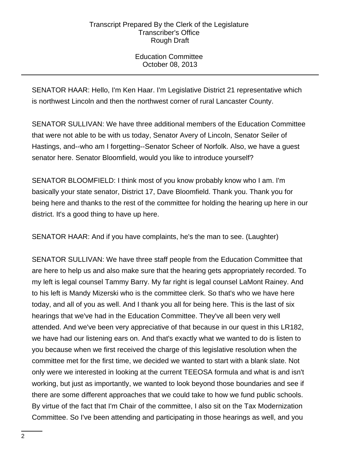Education Committee October 08, 2013

SENATOR HAAR: Hello, I'm Ken Haar. I'm Legislative District 21 representative which is northwest Lincoln and then the northwest corner of rural Lancaster County.

SENATOR SULLIVAN: We have three additional members of the Education Committee that were not able to be with us today, Senator Avery of Lincoln, Senator Seiler of Hastings, and--who am I forgetting--Senator Scheer of Norfolk. Also, we have a guest senator here. Senator Bloomfield, would you like to introduce yourself?

SENATOR BLOOMFIELD: I think most of you know probably know who I am. I'm basically your state senator, District 17, Dave Bloomfield. Thank you. Thank you for being here and thanks to the rest of the committee for holding the hearing up here in our district. It's a good thing to have up here.

SENATOR HAAR: And if you have complaints, he's the man to see. (Laughter)

SENATOR SULLIVAN: We have three staff people from the Education Committee that are here to help us and also make sure that the hearing gets appropriately recorded. To my left is legal counsel Tammy Barry. My far right is legal counsel LaMont Rainey. And to his left is Mandy Mizerski who is the committee clerk. So that's who we have here today, and all of you as well. And I thank you all for being here. This is the last of six hearings that we've had in the Education Committee. They've all been very well attended. And we've been very appreciative of that because in our quest in this LR182, we have had our listening ears on. And that's exactly what we wanted to do is listen to you because when we first received the charge of this legislative resolution when the committee met for the first time, we decided we wanted to start with a blank slate. Not only were we interested in looking at the current TEEOSA formula and what is and isn't working, but just as importantly, we wanted to look beyond those boundaries and see if there are some different approaches that we could take to how we fund public schools. By virtue of the fact that I'm Chair of the committee, I also sit on the Tax Modernization Committee. So I've been attending and participating in those hearings as well, and you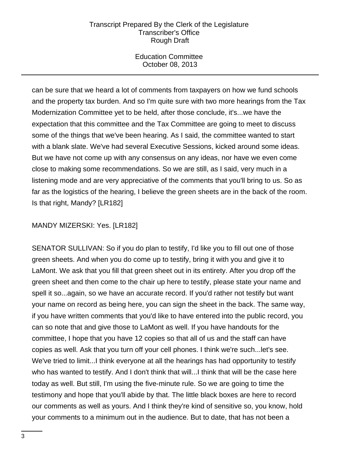Education Committee October 08, 2013

can be sure that we heard a lot of comments from taxpayers on how we fund schools and the property tax burden. And so I'm quite sure with two more hearings from the Tax Modernization Committee yet to be held, after those conclude, it's...we have the expectation that this committee and the Tax Committee are going to meet to discuss some of the things that we've been hearing. As I said, the committee wanted to start with a blank slate. We've had several Executive Sessions, kicked around some ideas. But we have not come up with any consensus on any ideas, nor have we even come close to making some recommendations. So we are still, as I said, very much in a listening mode and are very appreciative of the comments that you'll bring to us. So as far as the logistics of the hearing, I believe the green sheets are in the back of the room. Is that right, Mandy? [LR182]

# MANDY MIZERSKI: Yes. [LR182]

SENATOR SULLIVAN: So if you do plan to testify, I'd like you to fill out one of those green sheets. And when you do come up to testify, bring it with you and give it to LaMont. We ask that you fill that green sheet out in its entirety. After you drop off the green sheet and then come to the chair up here to testify, please state your name and spell it so...again, so we have an accurate record. If you'd rather not testify but want your name on record as being here, you can sign the sheet in the back. The same way, if you have written comments that you'd like to have entered into the public record, you can so note that and give those to LaMont as well. If you have handouts for the committee, I hope that you have 12 copies so that all of us and the staff can have copies as well. Ask that you turn off your cell phones. I think we're such...let's see. We've tried to limit...I think everyone at all the hearings has had opportunity to testify who has wanted to testify. And I don't think that will...I think that will be the case here today as well. But still, I'm using the five-minute rule. So we are going to time the testimony and hope that you'll abide by that. The little black boxes are here to record our comments as well as yours. And I think they're kind of sensitive so, you know, hold your comments to a minimum out in the audience. But to date, that has not been a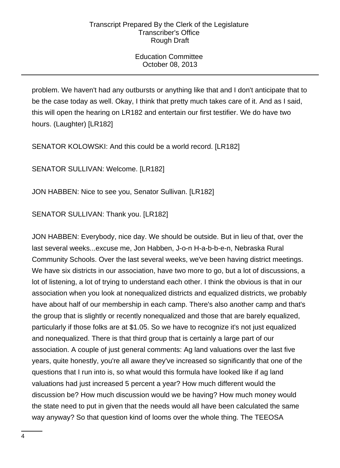# Education Committee October 08, 2013

problem. We haven't had any outbursts or anything like that and I don't anticipate that to be the case today as well. Okay, I think that pretty much takes care of it. And as I said, this will open the hearing on LR182 and entertain our first testifier. We do have two hours. (Laughter) [LR182]

SENATOR KOLOWSKI: And this could be a world record. [LR182]

SENATOR SULLIVAN: Welcome. [LR182]

JON HABBEN: Nice to see you, Senator Sullivan. [LR182]

SENATOR SULLIVAN: Thank you. [LR182]

JON HABBEN: Everybody, nice day. We should be outside. But in lieu of that, over the last several weeks...excuse me, Jon Habben, J-o-n H-a-b-b-e-n, Nebraska Rural Community Schools. Over the last several weeks, we've been having district meetings. We have six districts in our association, have two more to go, but a lot of discussions, a lot of listening, a lot of trying to understand each other. I think the obvious is that in our association when you look at nonequalized districts and equalized districts, we probably have about half of our membership in each camp. There's also another camp and that's the group that is slightly or recently nonequalized and those that are barely equalized, particularly if those folks are at \$1.05. So we have to recognize it's not just equalized and nonequalized. There is that third group that is certainly a large part of our association. A couple of just general comments: Ag land valuations over the last five years, quite honestly, you're all aware they've increased so significantly that one of the questions that I run into is, so what would this formula have looked like if ag land valuations had just increased 5 percent a year? How much different would the discussion be? How much discussion would we be having? How much money would the state need to put in given that the needs would all have been calculated the same way anyway? So that question kind of looms over the whole thing. The TEEOSA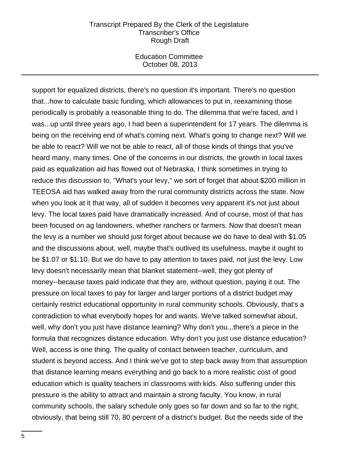Education Committee October 08, 2013

support for equalized districts, there's no question it's important. There's no question that...how to calculate basic funding, which allowances to put in, reexamining those periodically is probably a reasonable thing to do. The dilemma that we're faced, and I was...up until three years ago, I had been a superintendent for 17 years. The dilemma is being on the receiving end of what's coming next. What's going to change next? Will we be able to react? Will we not be able to react, all of those kinds of things that you've heard many, many times. One of the concerns in our districts, the growth in local taxes paid as equalization aid has flowed out of Nebraska, I think sometimes in trying to reduce this discussion to, "What's your levy," we sort of forget that about \$200 million in TEEOSA aid has walked away from the rural community districts across the state. Now when you look at it that way, all of sudden it becomes very apparent it's not just about levy. The local taxes paid have dramatically increased. And of course, most of that has been focused on ag landowners, whether ranchers or farmers. Now that doesn't mean the levy is a number we should just forget about because we do have to deal with \$1.05 and the discussions about, well, maybe that's outlived its usefulness, maybe it ought to be \$1.07 or \$1.10. But we do have to pay attention to taxes paid, not just the levy. Low levy doesn't necessarily mean that blanket statement--well, they got plenty of money--because taxes paid indicate that they are, without question, paying it out. The pressure on local taxes to pay for larger and larger portions of a district budget may certainly restrict educational opportunity in rural community schools. Obviously, that's a contradiction to what everybody hopes for and wants. We've talked somewhat about, well, why don't you just have distance learning? Why don't you...there's a piece in the formula that recognizes distance education. Why don't you just use distance education? Well, access is one thing. The quality of contact between teacher, curriculum, and student is beyond access. And I think we've got to step back away from that assumption that distance learning means everything and go back to a more realistic cost of good education which is quality teachers in classrooms with kids. Also suffering under this pressure is the ability to attract and maintain a strong faculty. You know, in rural community schools, the salary schedule only goes so far down and so far to the right, obviously, that being still 70, 80 percent of a district's budget. But the needs side of the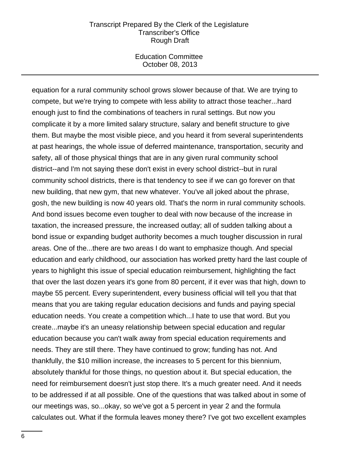Education Committee October 08, 2013

equation for a rural community school grows slower because of that. We are trying to compete, but we're trying to compete with less ability to attract those teacher...hard enough just to find the combinations of teachers in rural settings. But now you complicate it by a more limited salary structure, salary and benefit structure to give them. But maybe the most visible piece, and you heard it from several superintendents at past hearings, the whole issue of deferred maintenance, transportation, security and safety, all of those physical things that are in any given rural community school district--and I'm not saying these don't exist in every school district--but in rural community school districts, there is that tendency to see if we can go forever on that new building, that new gym, that new whatever. You've all joked about the phrase, gosh, the new building is now 40 years old. That's the norm in rural community schools. And bond issues become even tougher to deal with now because of the increase in taxation, the increased pressure, the increased outlay; all of sudden talking about a bond issue or expanding budget authority becomes a much tougher discussion in rural areas. One of the...there are two areas I do want to emphasize though. And special education and early childhood, our association has worked pretty hard the last couple of years to highlight this issue of special education reimbursement, highlighting the fact that over the last dozen years it's gone from 80 percent, if it ever was that high, down to maybe 55 percent. Every superintendent, every business official will tell you that that means that you are taking regular education decisions and funds and paying special education needs. You create a competition which...I hate to use that word. But you create...maybe it's an uneasy relationship between special education and regular education because you can't walk away from special education requirements and needs. They are still there. They have continued to grow; funding has not. And thankfully, the \$10 million increase, the increases to 5 percent for this biennium, absolutely thankful for those things, no question about it. But special education, the need for reimbursement doesn't just stop there. It's a much greater need. And it needs to be addressed if at all possible. One of the questions that was talked about in some of our meetings was, so...okay, so we've got a 5 percent in year 2 and the formula calculates out. What if the formula leaves money there? I've got two excellent examples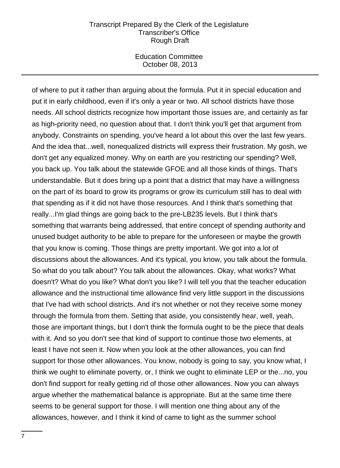Education Committee October 08, 2013

of where to put it rather than arguing about the formula. Put it in special education and put it in early childhood, even if it's only a year or two. All school districts have those needs. All school districts recognize how important those issues are, and certainly as far as high-priority need, no question about that. I don't think you'll get that argument from anybody. Constraints on spending, you've heard a lot about this over the last few years. And the idea that...well, nonequalized districts will express their frustration. My gosh, we don't get any equalized money. Why on earth are you restricting our spending? Well, you back up. You talk about the statewide GFOE and all those kinds of things. That's understandable. But it does bring up a point that a district that may have a willingness on the part of its board to grow its programs or grow its curriculum still has to deal with that spending as if it did not have those resources. And I think that's something that really...I'm glad things are going back to the pre-LB235 levels. But I think that's something that warrants being addressed, that entire concept of spending authority and unused budget authority to be able to prepare for the unforeseen or maybe the growth that you know is coming. Those things are pretty important. We got into a lot of discussions about the allowances. And it's typical, you know, you talk about the formula. So what do you talk about? You talk about the allowances. Okay, what works? What doesn't? What do you like? What don't you like? I will tell you that the teacher education allowance and the instructional time allowance find very little support in the discussions that I've had with school districts. And it's not whether or not they receive some money through the formula from them. Setting that aside, you consistently hear, well, yeah, those are important things, but I don't think the formula ought to be the piece that deals with it. And so you don't see that kind of support to continue those two elements, at least I have not seen it. Now when you look at the other allowances, you can find support for those other allowances. You know, nobody is going to say, you know what, I think we ought to eliminate poverty, or, I think we ought to eliminate LEP or the...no, you don't find support for really getting rid of those other allowances. Now you can always argue whether the mathematical balance is appropriate. But at the same time there seems to be general support for those. I will mention one thing about any of the allowances, however, and I think it kind of came to light as the summer school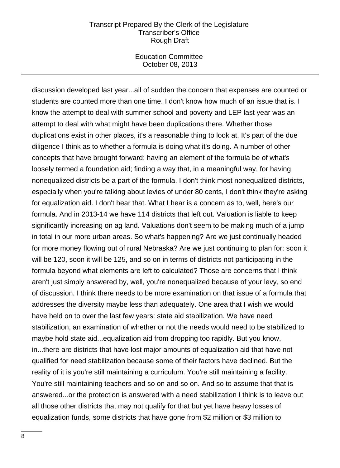Education Committee October 08, 2013

discussion developed last year...all of sudden the concern that expenses are counted or students are counted more than one time. I don't know how much of an issue that is. I know the attempt to deal with summer school and poverty and LEP last year was an attempt to deal with what might have been duplications there. Whether those duplications exist in other places, it's a reasonable thing to look at. It's part of the due diligence I think as to whether a formula is doing what it's doing. A number of other concepts that have brought forward: having an element of the formula be of what's loosely termed a foundation aid; finding a way that, in a meaningful way, for having nonequalized districts be a part of the formula. I don't think most nonequalized districts, especially when you're talking about levies of under 80 cents, I don't think they're asking for equalization aid. I don't hear that. What I hear is a concern as to, well, here's our formula. And in 2013-14 we have 114 districts that left out. Valuation is liable to keep significantly increasing on ag land. Valuations don't seem to be making much of a jump in total in our more urban areas. So what's happening? Are we just continually headed for more money flowing out of rural Nebraska? Are we just continuing to plan for: soon it will be 120, soon it will be 125, and so on in terms of districts not participating in the formula beyond what elements are left to calculated? Those are concerns that I think aren't just simply answered by, well, you're nonequalized because of your levy, so end of discussion. I think there needs to be more examination on that issue of a formula that addresses the diversity maybe less than adequately. One area that I wish we would have held on to over the last few years: state aid stabilization. We have need stabilization, an examination of whether or not the needs would need to be stabilized to maybe hold state aid...equalization aid from dropping too rapidly. But you know, in...there are districts that have lost major amounts of equalization aid that have not qualified for need stabilization because some of their factors have declined. But the reality of it is you're still maintaining a curriculum. You're still maintaining a facility. You're still maintaining teachers and so on and so on. And so to assume that that is answered...or the protection is answered with a need stabilization I think is to leave out all those other districts that may not qualify for that but yet have heavy losses of equalization funds, some districts that have gone from \$2 million or \$3 million to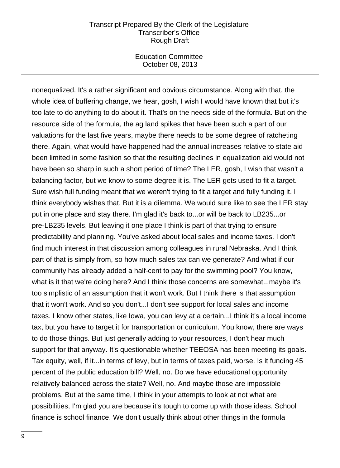Education Committee October 08, 2013

nonequalized. It's a rather significant and obvious circumstance. Along with that, the whole idea of buffering change, we hear, gosh, I wish I would have known that but it's too late to do anything to do about it. That's on the needs side of the formula. But on the resource side of the formula, the ag land spikes that have been such a part of our valuations for the last five years, maybe there needs to be some degree of ratcheting there. Again, what would have happened had the annual increases relative to state aid been limited in some fashion so that the resulting declines in equalization aid would not have been so sharp in such a short period of time? The LER, gosh, I wish that wasn't a balancing factor, but we know to some degree it is. The LER gets used to fit a target. Sure wish full funding meant that we weren't trying to fit a target and fully funding it. I think everybody wishes that. But it is a dilemma. We would sure like to see the LER stay put in one place and stay there. I'm glad it's back to...or will be back to LB235...or pre-LB235 levels. But leaving it one place I think is part of that trying to ensure predictability and planning. You've asked about local sales and income taxes. I don't find much interest in that discussion among colleagues in rural Nebraska. And I think part of that is simply from, so how much sales tax can we generate? And what if our community has already added a half-cent to pay for the swimming pool? You know, what is it that we're doing here? And I think those concerns are somewhat...maybe it's too simplistic of an assumption that it won't work. But I think there is that assumption that it won't work. And so you don't...I don't see support for local sales and income taxes. I know other states, like Iowa, you can levy at a certain...I think it's a local income tax, but you have to target it for transportation or curriculum. You know, there are ways to do those things. But just generally adding to your resources, I don't hear much support for that anyway. It's questionable whether TEEOSA has been meeting its goals. Tax equity, well, if it...in terms of levy, but in terms of taxes paid, worse. Is it funding 45 percent of the public education bill? Well, no. Do we have educational opportunity relatively balanced across the state? Well, no. And maybe those are impossible problems. But at the same time, I think in your attempts to look at not what are possibilities, I'm glad you are because it's tough to come up with those ideas. School finance is school finance. We don't usually think about other things in the formula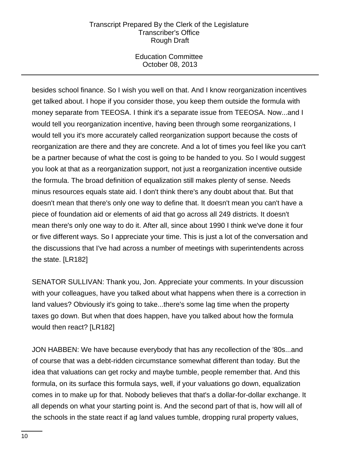Education Committee October 08, 2013

besides school finance. So I wish you well on that. And I know reorganization incentives get talked about. I hope if you consider those, you keep them outside the formula with money separate from TEEOSA. I think it's a separate issue from TEEOSA. Now...and I would tell you reorganization incentive, having been through some reorganizations, I would tell you it's more accurately called reorganization support because the costs of reorganization are there and they are concrete. And a lot of times you feel like you can't be a partner because of what the cost is going to be handed to you. So I would suggest you look at that as a reorganization support, not just a reorganization incentive outside the formula. The broad definition of equalization still makes plenty of sense. Needs minus resources equals state aid. I don't think there's any doubt about that. But that doesn't mean that there's only one way to define that. It doesn't mean you can't have a piece of foundation aid or elements of aid that go across all 249 districts. It doesn't mean there's only one way to do it. After all, since about 1990 I think we've done it four or five different ways. So I appreciate your time. This is just a lot of the conversation and the discussions that I've had across a number of meetings with superintendents across the state. [LR182]

SENATOR SULLIVAN: Thank you, Jon. Appreciate your comments. In your discussion with your colleagues, have you talked about what happens when there is a correction in land values? Obviously it's going to take...there's some lag time when the property taxes go down. But when that does happen, have you talked about how the formula would then react? [LR182]

JON HABBEN: We have because everybody that has any recollection of the '80s...and of course that was a debt-ridden circumstance somewhat different than today. But the idea that valuations can get rocky and maybe tumble, people remember that. And this formula, on its surface this formula says, well, if your valuations go down, equalization comes in to make up for that. Nobody believes that that's a dollar-for-dollar exchange. It all depends on what your starting point is. And the second part of that is, how will all of the schools in the state react if ag land values tumble, dropping rural property values,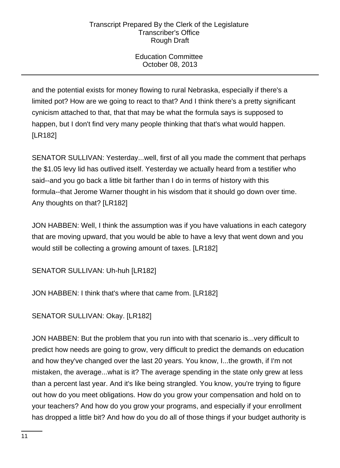Education Committee October 08, 2013

and the potential exists for money flowing to rural Nebraska, especially if there's a limited pot? How are we going to react to that? And I think there's a pretty significant cynicism attached to that, that that may be what the formula says is supposed to happen, but I don't find very many people thinking that that's what would happen. [LR182]

SENATOR SULLIVAN: Yesterday...well, first of all you made the comment that perhaps the \$1.05 levy lid has outlived itself. Yesterday we actually heard from a testifier who said--and you go back a little bit farther than I do in terms of history with this formula--that Jerome Warner thought in his wisdom that it should go down over time. Any thoughts on that? [LR182]

JON HABBEN: Well, I think the assumption was if you have valuations in each category that are moving upward, that you would be able to have a levy that went down and you would still be collecting a growing amount of taxes. [LR182]

SENATOR SULLIVAN: Uh-huh [LR182]

JON HABBEN: I think that's where that came from. [LR182]

SENATOR SULLIVAN: Okay. [LR182]

JON HABBEN: But the problem that you run into with that scenario is...very difficult to predict how needs are going to grow, very difficult to predict the demands on education and how they've changed over the last 20 years. You know, I...the growth, if I'm not mistaken, the average...what is it? The average spending in the state only grew at less than a percent last year. And it's like being strangled. You know, you're trying to figure out how do you meet obligations. How do you grow your compensation and hold on to your teachers? And how do you grow your programs, and especially if your enrollment has dropped a little bit? And how do you do all of those things if your budget authority is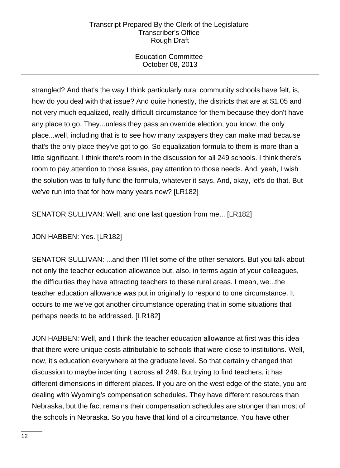Education Committee October 08, 2013

strangled? And that's the way I think particularly rural community schools have felt, is, how do you deal with that issue? And quite honestly, the districts that are at \$1.05 and not very much equalized, really difficult circumstance for them because they don't have any place to go. They...unless they pass an override election, you know, the only place...well, including that is to see how many taxpayers they can make mad because that's the only place they've got to go. So equalization formula to them is more than a little significant. I think there's room in the discussion for all 249 schools. I think there's room to pay attention to those issues, pay attention to those needs. And, yeah, I wish the solution was to fully fund the formula, whatever it says. And, okay, let's do that. But we've run into that for how many years now? [LR182]

SENATOR SULLIVAN: Well, and one last question from me... [LR182]

# JON HABBEN: Yes. [LR182]

SENATOR SULLIVAN: ...and then I'll let some of the other senators. But you talk about not only the teacher education allowance but, also, in terms again of your colleagues, the difficulties they have attracting teachers to these rural areas. I mean, we...the teacher education allowance was put in originally to respond to one circumstance. It occurs to me we've got another circumstance operating that in some situations that perhaps needs to be addressed. [LR182]

JON HABBEN: Well, and I think the teacher education allowance at first was this idea that there were unique costs attributable to schools that were close to institutions. Well, now, it's education everywhere at the graduate level. So that certainly changed that discussion to maybe incenting it across all 249. But trying to find teachers, it has different dimensions in different places. If you are on the west edge of the state, you are dealing with Wyoming's compensation schedules. They have different resources than Nebraska, but the fact remains their compensation schedules are stronger than most of the schools in Nebraska. So you have that kind of a circumstance. You have other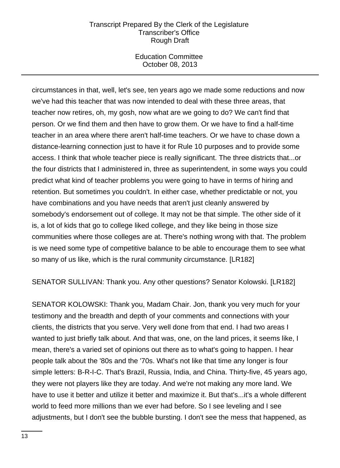Education Committee October 08, 2013

circumstances in that, well, let's see, ten years ago we made some reductions and now we've had this teacher that was now intended to deal with these three areas, that teacher now retires, oh, my gosh, now what are we going to do? We can't find that person. Or we find them and then have to grow them. Or we have to find a half-time teacher in an area where there aren't half-time teachers. Or we have to chase down a distance-learning connection just to have it for Rule 10 purposes and to provide some access. I think that whole teacher piece is really significant. The three districts that...or the four districts that I administered in, three as superintendent, in some ways you could predict what kind of teacher problems you were going to have in terms of hiring and retention. But sometimes you couldn't. In either case, whether predictable or not, you have combinations and you have needs that aren't just cleanly answered by somebody's endorsement out of college. It may not be that simple. The other side of it is, a lot of kids that go to college liked college, and they like being in those size communities where those colleges are at. There's nothing wrong with that. The problem is we need some type of competitive balance to be able to encourage them to see what so many of us like, which is the rural community circumstance. [LR182]

SENATOR SULLIVAN: Thank you. Any other questions? Senator Kolowski. [LR182]

SENATOR KOLOWSKI: Thank you, Madam Chair. Jon, thank you very much for your testimony and the breadth and depth of your comments and connections with your clients, the districts that you serve. Very well done from that end. I had two areas I wanted to just briefly talk about. And that was, one, on the land prices, it seems like, I mean, there's a varied set of opinions out there as to what's going to happen. I hear people talk about the '80s and the '70s. What's not like that time any longer is four simple letters: B-R-I-C. That's Brazil, Russia, India, and China. Thirty-five, 45 years ago, they were not players like they are today. And we're not making any more land. We have to use it better and utilize it better and maximize it. But that's...it's a whole different world to feed more millions than we ever had before. So I see leveling and I see adjustments, but I don't see the bubble bursting. I don't see the mess that happened, as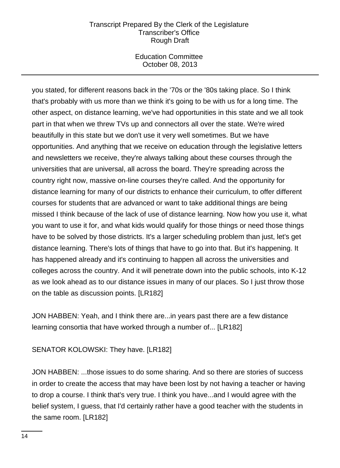Education Committee October 08, 2013

you stated, for different reasons back in the '70s or the '80s taking place. So I think that's probably with us more than we think it's going to be with us for a long time. The other aspect, on distance learning, we've had opportunities in this state and we all took part in that when we threw TVs up and connectors all over the state. We're wired beautifully in this state but we don't use it very well sometimes. But we have opportunities. And anything that we receive on education through the legislative letters and newsletters we receive, they're always talking about these courses through the universities that are universal, all across the board. They're spreading across the country right now, massive on-line courses they're called. And the opportunity for distance learning for many of our districts to enhance their curriculum, to offer different courses for students that are advanced or want to take additional things are being missed I think because of the lack of use of distance learning. Now how you use it, what you want to use it for, and what kids would qualify for those things or need those things have to be solved by those districts. It's a larger scheduling problem than just, let's get distance learning. There's lots of things that have to go into that. But it's happening. It has happened already and it's continuing to happen all across the universities and colleges across the country. And it will penetrate down into the public schools, into K-12 as we look ahead as to our distance issues in many of our places. So I just throw those on the table as discussion points. [LR182]

JON HABBEN: Yeah, and I think there are...in years past there are a few distance learning consortia that have worked through a number of... [LR182]

# SENATOR KOLOWSKI: They have. [LR182]

JON HABBEN: ...those issues to do some sharing. And so there are stories of success in order to create the access that may have been lost by not having a teacher or having to drop a course. I think that's very true. I think you have...and I would agree with the belief system, I guess, that I'd certainly rather have a good teacher with the students in the same room. [LR182]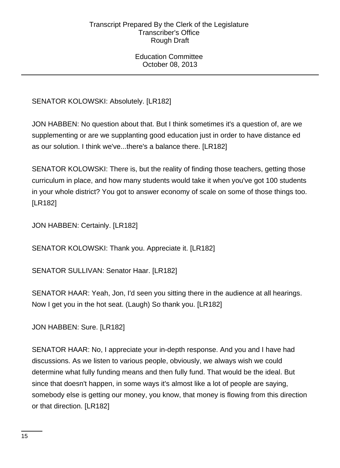Education Committee October 08, 2013

SENATOR KOLOWSKI: Absolutely. [LR182]

JON HABBEN: No question about that. But I think sometimes it's a question of, are we supplementing or are we supplanting good education just in order to have distance ed as our solution. I think we've...there's a balance there. [LR182]

SENATOR KOLOWSKI: There is, but the reality of finding those teachers, getting those curriculum in place, and how many students would take it when you've got 100 students in your whole district? You got to answer economy of scale on some of those things too. [LR182]

JON HABBEN: Certainly. [LR182]

SENATOR KOLOWSKI: Thank you. Appreciate it. [LR182]

SENATOR SULLIVAN: Senator Haar. [LR182]

SENATOR HAAR: Yeah, Jon, I'd seen you sitting there in the audience at all hearings. Now I get you in the hot seat. (Laugh) So thank you. [LR182]

JON HABBEN: Sure. [LR182]

SENATOR HAAR: No, I appreciate your in-depth response. And you and I have had discussions. As we listen to various people, obviously, we always wish we could determine what fully funding means and then fully fund. That would be the ideal. But since that doesn't happen, in some ways it's almost like a lot of people are saying, somebody else is getting our money, you know, that money is flowing from this direction or that direction. [LR182]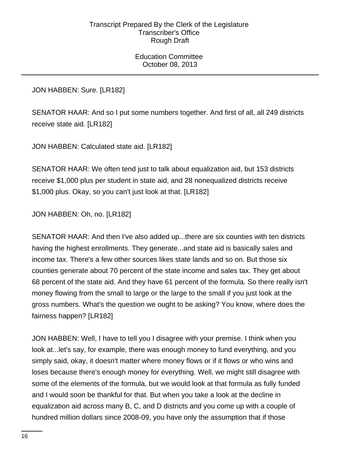Education Committee October 08, 2013

JON HABBEN: Sure. [LR182]

SENATOR HAAR: And so I put some numbers together. And first of all, all 249 districts receive state aid. [LR182]

JON HABBEN: Calculated state aid. [LR182]

SENATOR HAAR: We often tend just to talk about equalization aid, but 153 districts receive \$1,000 plus per student in state aid, and 28 nonequalized districts receive \$1,000 plus. Okay, so you can't just look at that. [LR182]

JON HABBEN: Oh, no. [LR182]

SENATOR HAAR: And then I've also added up...there are six counties with ten districts having the highest enrollments. They generate...and state aid is basically sales and income tax. There's a few other sources likes state lands and so on. But those six counties generate about 70 percent of the state income and sales tax. They get about 68 percent of the state aid. And they have 61 percent of the formula. So there really isn't money flowing from the small to large or the large to the small if you just look at the gross numbers. What's the question we ought to be asking? You know, where does the fairness happen? [LR182]

JON HABBEN: Well, I have to tell you I disagree with your premise. I think when you look at...let's say, for example, there was enough money to fund everything, and you simply said, okay, it doesn't matter where money flows or if it flows or who wins and loses because there's enough money for everything. Well, we might still disagree with some of the elements of the formula, but we would look at that formula as fully funded and I would soon be thankful for that. But when you take a look at the decline in equalization aid across many B, C, and D districts and you come up with a couple of hundred million dollars since 2008-09, you have only the assumption that if those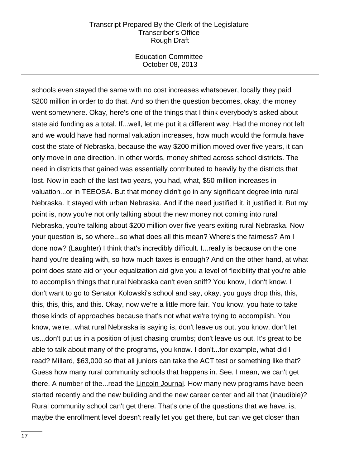Education Committee October 08, 2013

schools even stayed the same with no cost increases whatsoever, locally they paid \$200 million in order to do that. And so then the question becomes, okay, the money went somewhere. Okay, here's one of the things that I think everybody's asked about state aid funding as a total. If...well, let me put it a different way. Had the money not left and we would have had normal valuation increases, how much would the formula have cost the state of Nebraska, because the way \$200 million moved over five years, it can only move in one direction. In other words, money shifted across school districts. The need in districts that gained was essentially contributed to heavily by the districts that lost. Now in each of the last two years, you had, what, \$50 million increases in valuation...or in TEEOSA. But that money didn't go in any significant degree into rural Nebraska. It stayed with urban Nebraska. And if the need justified it, it justified it. But my point is, now you're not only talking about the new money not coming into rural Nebraska, you're talking about \$200 million over five years exiting rural Nebraska. Now your question is, so where...so what does all this mean? Where's the fairness? Am I done now? (Laughter) I think that's incredibly difficult. I...really is because on the one hand you're dealing with, so how much taxes is enough? And on the other hand, at what point does state aid or your equalization aid give you a level of flexibility that you're able to accomplish things that rural Nebraska can't even sniff? You know, I don't know. I don't want to go to Senator Kolowski's school and say, okay, you guys drop this, this, this, this, this, and this. Okay, now we're a little more fair. You know, you hate to take those kinds of approaches because that's not what we're trying to accomplish. You know, we're...what rural Nebraska is saying is, don't leave us out, you know, don't let us...don't put us in a position of just chasing crumbs; don't leave us out. It's great to be able to talk about many of the programs, you know. I don't...for example, what did I read? Millard, \$63,000 so that all juniors can take the ACT test or something like that? Guess how many rural community schools that happens in. See, I mean, we can't get there. A number of the...read the Lincoln Journal. How many new programs have been started recently and the new building and the new career center and all that (inaudible)? Rural community school can't get there. That's one of the questions that we have, is, maybe the enrollment level doesn't really let you get there, but can we get closer than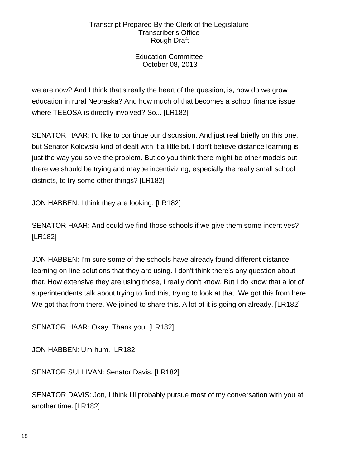Education Committee October 08, 2013

we are now? And I think that's really the heart of the question, is, how do we grow education in rural Nebraska? And how much of that becomes a school finance issue where TEEOSA is directly involved? So... [LR182]

SENATOR HAAR: I'd like to continue our discussion. And just real briefly on this one, but Senator Kolowski kind of dealt with it a little bit. I don't believe distance learning is just the way you solve the problem. But do you think there might be other models out there we should be trying and maybe incentivizing, especially the really small school districts, to try some other things? [LR182]

JON HABBEN: I think they are looking. [LR182]

SENATOR HAAR: And could we find those schools if we give them some incentives? [LR182]

JON HABBEN: I'm sure some of the schools have already found different distance learning on-line solutions that they are using. I don't think there's any question about that. How extensive they are using those, I really don't know. But I do know that a lot of superintendents talk about trying to find this, trying to look at that. We got this from here. We got that from there. We joined to share this. A lot of it is going on already. [LR182]

SENATOR HAAR: Okay. Thank you. [LR182]

JON HABBEN: Um-hum. [LR182]

SENATOR SULLIVAN: Senator Davis. [LR182]

SENATOR DAVIS: Jon, I think I'll probably pursue most of my conversation with you at another time. [LR182]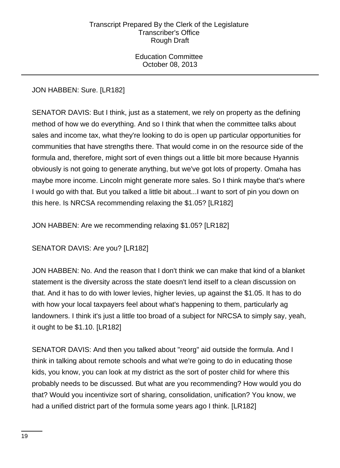Education Committee October 08, 2013

JON HABBEN: Sure. [LR182]

SENATOR DAVIS: But I think, just as a statement, we rely on property as the defining method of how we do everything. And so I think that when the committee talks about sales and income tax, what they're looking to do is open up particular opportunities for communities that have strengths there. That would come in on the resource side of the formula and, therefore, might sort of even things out a little bit more because Hyannis obviously is not going to generate anything, but we've got lots of property. Omaha has maybe more income. Lincoln might generate more sales. So I think maybe that's where I would go with that. But you talked a little bit about...I want to sort of pin you down on this here. Is NRCSA recommending relaxing the \$1.05? [LR182]

JON HABBEN: Are we recommending relaxing \$1.05? [LR182]

SENATOR DAVIS: Are you? [LR182]

JON HABBEN: No. And the reason that I don't think we can make that kind of a blanket statement is the diversity across the state doesn't lend itself to a clean discussion on that. And it has to do with lower levies, higher levies, up against the \$1.05. It has to do with how your local taxpayers feel about what's happening to them, particularly ag landowners. I think it's just a little too broad of a subject for NRCSA to simply say, yeah, it ought to be \$1.10. [LR182]

SENATOR DAVIS: And then you talked about "reorg" aid outside the formula. And I think in talking about remote schools and what we're going to do in educating those kids, you know, you can look at my district as the sort of poster child for where this probably needs to be discussed. But what are you recommending? How would you do that? Would you incentivize sort of sharing, consolidation, unification? You know, we had a unified district part of the formula some years ago I think. [LR182]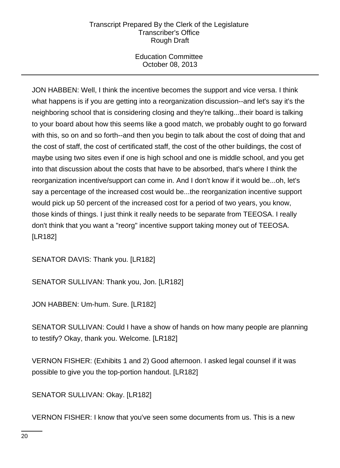Education Committee October 08, 2013

JON HABBEN: Well, I think the incentive becomes the support and vice versa. I think what happens is if you are getting into a reorganization discussion--and let's say it's the neighboring school that is considering closing and they're talking...their board is talking to your board about how this seems like a good match, we probably ought to go forward with this, so on and so forth--and then you begin to talk about the cost of doing that and the cost of staff, the cost of certificated staff, the cost of the other buildings, the cost of maybe using two sites even if one is high school and one is middle school, and you get into that discussion about the costs that have to be absorbed, that's where I think the reorganization incentive/support can come in. And I don't know if it would be...oh, let's say a percentage of the increased cost would be...the reorganization incentive support would pick up 50 percent of the increased cost for a period of two years, you know, those kinds of things. I just think it really needs to be separate from TEEOSA. I really don't think that you want a "reorg" incentive support taking money out of TEEOSA. [LR182]

SENATOR DAVIS: Thank you. [LR182]

SENATOR SULLIVAN: Thank you, Jon. [LR182]

JON HABBEN: Um-hum. Sure. [LR182]

SENATOR SULLIVAN: Could I have a show of hands on how many people are planning to testify? Okay, thank you. Welcome. [LR182]

VERNON FISHER: (Exhibits 1 and 2) Good afternoon. I asked legal counsel if it was possible to give you the top-portion handout. [LR182]

SENATOR SULLIVAN: Okay. [LR182]

VERNON FISHER: I know that you've seen some documents from us. This is a new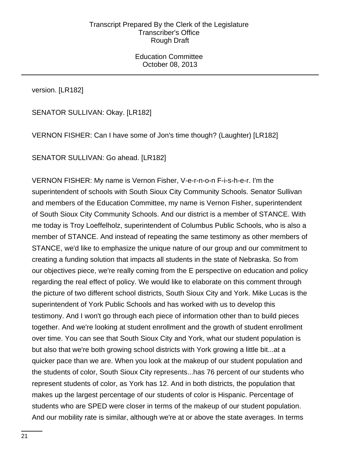Education Committee October 08, 2013

version. [LR182]

SENATOR SULLIVAN: Okay. [LR182]

VERNON FISHER: Can I have some of Jon's time though? (Laughter) [LR182]

SENATOR SULLIVAN: Go ahead. [LR182]

VERNON FISHER: My name is Vernon Fisher, V-e-r-n-o-n F-i-s-h-e-r. I'm the superintendent of schools with South Sioux City Community Schools. Senator Sullivan and members of the Education Committee, my name is Vernon Fisher, superintendent of South Sioux City Community Schools. And our district is a member of STANCE. With me today is Troy Loeffelholz, superintendent of Columbus Public Schools, who is also a member of STANCE. And instead of repeating the same testimony as other members of STANCE, we'd like to emphasize the unique nature of our group and our commitment to creating a funding solution that impacts all students in the state of Nebraska. So from our objectives piece, we're really coming from the E perspective on education and policy regarding the real effect of policy. We would like to elaborate on this comment through the picture of two different school districts, South Sioux City and York. Mike Lucas is the superintendent of York Public Schools and has worked with us to develop this testimony. And I won't go through each piece of information other than to build pieces together. And we're looking at student enrollment and the growth of student enrollment over time. You can see that South Sioux City and York, what our student population is but also that we're both growing school districts with York growing a little bit...at a quicker pace than we are. When you look at the makeup of our student population and the students of color, South Sioux City represents...has 76 percent of our students who represent students of color, as York has 12. And in both districts, the population that makes up the largest percentage of our students of color is Hispanic. Percentage of students who are SPED were closer in terms of the makeup of our student population. And our mobility rate is similar, although we're at or above the state averages. In terms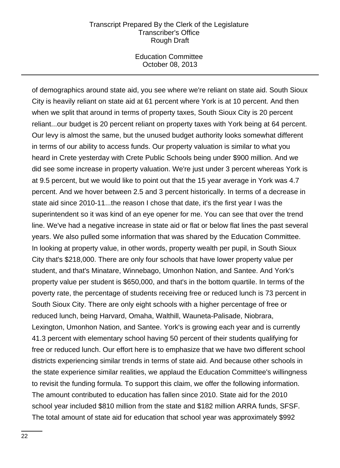Education Committee October 08, 2013

of demographics around state aid, you see where we're reliant on state aid. South Sioux City is heavily reliant on state aid at 61 percent where York is at 10 percent. And then when we split that around in terms of property taxes, South Sioux City is 20 percent reliant...our budget is 20 percent reliant on property taxes with York being at 64 percent. Our levy is almost the same, but the unused budget authority looks somewhat different in terms of our ability to access funds. Our property valuation is similar to what you heard in Crete yesterday with Crete Public Schools being under \$900 million. And we did see some increase in property valuation. We're just under 3 percent whereas York is at 9.5 percent, but we would like to point out that the 15 year average in York was 4.7 percent. And we hover between 2.5 and 3 percent historically. In terms of a decrease in state aid since 2010-11...the reason I chose that date, it's the first year I was the superintendent so it was kind of an eye opener for me. You can see that over the trend line. We've had a negative increase in state aid or flat or below flat lines the past several years. We also pulled some information that was shared by the Education Committee. In looking at property value, in other words, property wealth per pupil, in South Sioux City that's \$218,000. There are only four schools that have lower property value per student, and that's Minatare, Winnebago, Umonhon Nation, and Santee. And York's property value per student is \$650,000, and that's in the bottom quartile. In terms of the poverty rate, the percentage of students receiving free or reduced lunch is 73 percent in South Sioux City. There are only eight schools with a higher percentage of free or reduced lunch, being Harvard, Omaha, Walthill, Wauneta-Palisade, Niobrara, Lexington, Umonhon Nation, and Santee. York's is growing each year and is currently 41.3 percent with elementary school having 50 percent of their students qualifying for free or reduced lunch. Our effort here is to emphasize that we have two different school districts experiencing similar trends in terms of state aid. And because other schools in the state experience similar realities, we applaud the Education Committee's willingness to revisit the funding formula. To support this claim, we offer the following information. The amount contributed to education has fallen since 2010. State aid for the 2010 school year included \$810 million from the state and \$182 million ARRA funds, SFSF. The total amount of state aid for education that school year was approximately \$992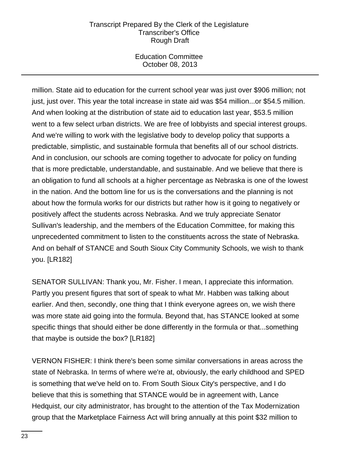Education Committee October 08, 2013

million. State aid to education for the current school year was just over \$906 million; not just, just over. This year the total increase in state aid was \$54 million...or \$54.5 million. And when looking at the distribution of state aid to education last year, \$53.5 million went to a few select urban districts. We are free of lobbyists and special interest groups. And we're willing to work with the legislative body to develop policy that supports a predictable, simplistic, and sustainable formula that benefits all of our school districts. And in conclusion, our schools are coming together to advocate for policy on funding that is more predictable, understandable, and sustainable. And we believe that there is an obligation to fund all schools at a higher percentage as Nebraska is one of the lowest in the nation. And the bottom line for us is the conversations and the planning is not about how the formula works for our districts but rather how is it going to negatively or positively affect the students across Nebraska. And we truly appreciate Senator Sullivan's leadership, and the members of the Education Committee, for making this unprecedented commitment to listen to the constituents across the state of Nebraska. And on behalf of STANCE and South Sioux City Community Schools, we wish to thank you. [LR182]

SENATOR SULLIVAN: Thank you, Mr. Fisher. I mean, I appreciate this information. Partly you present figures that sort of speak to what Mr. Habben was talking about earlier. And then, secondly, one thing that I think everyone agrees on, we wish there was more state aid going into the formula. Beyond that, has STANCE looked at some specific things that should either be done differently in the formula or that...something that maybe is outside the box? [LR182]

VERNON FISHER: I think there's been some similar conversations in areas across the state of Nebraska. In terms of where we're at, obviously, the early childhood and SPED is something that we've held on to. From South Sioux City's perspective, and I do believe that this is something that STANCE would be in agreement with, Lance Hedquist, our city administrator, has brought to the attention of the Tax Modernization group that the Marketplace Fairness Act will bring annually at this point \$32 million to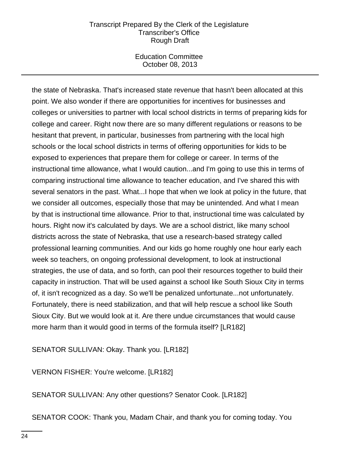Education Committee October 08, 2013

the state of Nebraska. That's increased state revenue that hasn't been allocated at this point. We also wonder if there are opportunities for incentives for businesses and colleges or universities to partner with local school districts in terms of preparing kids for college and career. Right now there are so many different regulations or reasons to be hesitant that prevent, in particular, businesses from partnering with the local high schools or the local school districts in terms of offering opportunities for kids to be exposed to experiences that prepare them for college or career. In terms of the instructional time allowance, what I would caution...and I'm going to use this in terms of comparing instructional time allowance to teacher education, and I've shared this with several senators in the past. What...I hope that when we look at policy in the future, that we consider all outcomes, especially those that may be unintended. And what I mean by that is instructional time allowance. Prior to that, instructional time was calculated by hours. Right now it's calculated by days. We are a school district, like many school districts across the state of Nebraska, that use a research-based strategy called professional learning communities. And our kids go home roughly one hour early each week so teachers, on ongoing professional development, to look at instructional strategies, the use of data, and so forth, can pool their resources together to build their capacity in instruction. That will be used against a school like South Sioux City in terms of, it isn't recognized as a day. So we'll be penalized unfortunate...not unfortunately. Fortunately, there is need stabilization, and that will help rescue a school like South Sioux City. But we would look at it. Are there undue circumstances that would cause more harm than it would good in terms of the formula itself? [LR182]

SENATOR SULLIVAN: Okay. Thank you. [LR182]

VERNON FISHER: You're welcome. [LR182]

SENATOR SULLIVAN: Any other questions? Senator Cook. [LR182]

SENATOR COOK: Thank you, Madam Chair, and thank you for coming today. You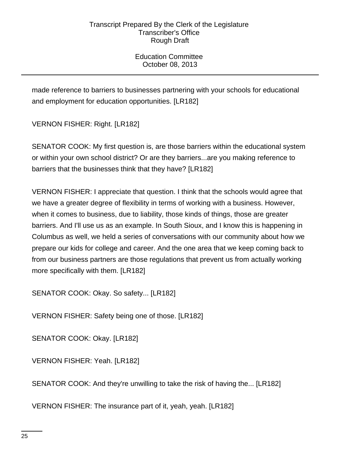Education Committee October 08, 2013

made reference to barriers to businesses partnering with your schools for educational and employment for education opportunities. [LR182]

VERNON FISHER: Right. [LR182]

SENATOR COOK: My first question is, are those barriers within the educational system or within your own school district? Or are they barriers...are you making reference to barriers that the businesses think that they have? [LR182]

VERNON FISHER: I appreciate that question. I think that the schools would agree that we have a greater degree of flexibility in terms of working with a business. However, when it comes to business, due to liability, those kinds of things, those are greater barriers. And I'll use us as an example. In South Sioux, and I know this is happening in Columbus as well, we held a series of conversations with our community about how we prepare our kids for college and career. And the one area that we keep coming back to from our business partners are those regulations that prevent us from actually working more specifically with them. [LR182]

SENATOR COOK: Okay. So safety... [LR182]

VERNON FISHER: Safety being one of those. [LR182]

SENATOR COOK: Okay. [LR182]

VERNON FISHER: Yeah. [LR182]

SENATOR COOK: And they're unwilling to take the risk of having the... [LR182]

VERNON FISHER: The insurance part of it, yeah, yeah. [LR182]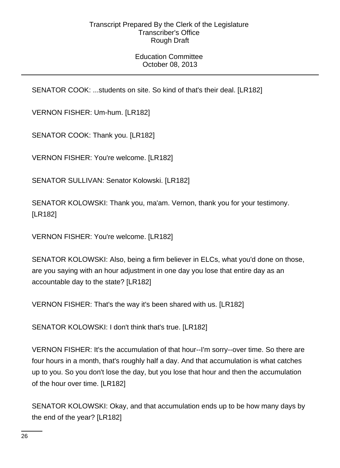# Education Committee October 08, 2013

SENATOR COOK: ...students on site. So kind of that's their deal. [LR182]

VERNON FISHER: Um-hum. [LR182]

SENATOR COOK: Thank you. [LR182]

VERNON FISHER: You're welcome. [LR182]

SENATOR SULLIVAN: Senator Kolowski. [LR182]

SENATOR KOLOWSKI: Thank you, ma'am. Vernon, thank you for your testimony. [LR182]

VERNON FISHER: You're welcome. [LR182]

SENATOR KOLOWSKI: Also, being a firm believer in ELCs, what you'd done on those, are you saying with an hour adjustment in one day you lose that entire day as an accountable day to the state? [LR182]

VERNON FISHER: That's the way it's been shared with us. [LR182]

SENATOR KOLOWSKI: I don't think that's true. [LR182]

VERNON FISHER: It's the accumulation of that hour--I'm sorry--over time. So there are four hours in a month, that's roughly half a day. And that accumulation is what catches up to you. So you don't lose the day, but you lose that hour and then the accumulation of the hour over time. [LR182]

SENATOR KOLOWSKI: Okay, and that accumulation ends up to be how many days by the end of the year? [LR182]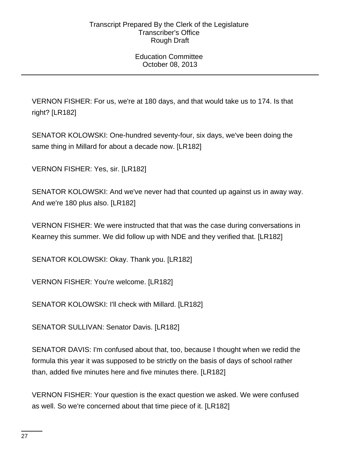# Education Committee October 08, 2013

VERNON FISHER: For us, we're at 180 days, and that would take us to 174. Is that right? [LR182]

SENATOR KOLOWSKI: One-hundred seventy-four, six days, we've been doing the same thing in Millard for about a decade now. [LR182]

VERNON FISHER: Yes, sir. [LR182]

SENATOR KOLOWSKI: And we've never had that counted up against us in away way. And we're 180 plus also. [LR182]

VERNON FISHER: We were instructed that that was the case during conversations in Kearney this summer. We did follow up with NDE and they verified that. [LR182]

SENATOR KOLOWSKI: Okay. Thank you. [LR182]

VERNON FISHER: You're welcome. [LR182]

SENATOR KOLOWSKI: I'll check with Millard. [LR182]

SENATOR SULLIVAN: Senator Davis. [LR182]

SENATOR DAVIS: I'm confused about that, too, because I thought when we redid the formula this year it was supposed to be strictly on the basis of days of school rather than, added five minutes here and five minutes there. [LR182]

VERNON FISHER: Your question is the exact question we asked. We were confused as well. So we're concerned about that time piece of it. [LR182]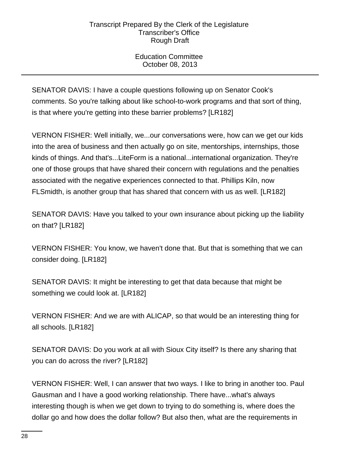Education Committee October 08, 2013

SENATOR DAVIS: I have a couple questions following up on Senator Cook's comments. So you're talking about like school-to-work programs and that sort of thing, is that where you're getting into these barrier problems? [LR182]

VERNON FISHER: Well initially, we...our conversations were, how can we get our kids into the area of business and then actually go on site, mentorships, internships, those kinds of things. And that's...LiteForm is a national...international organization. They're one of those groups that have shared their concern with regulations and the penalties associated with the negative experiences connected to that. Phillips Kiln, now FLSmidth, is another group that has shared that concern with us as well. [LR182]

SENATOR DAVIS: Have you talked to your own insurance about picking up the liability on that? [LR182]

VERNON FISHER: You know, we haven't done that. But that is something that we can consider doing. [LR182]

SENATOR DAVIS: It might be interesting to get that data because that might be something we could look at. [LR182]

VERNON FISHER: And we are with ALICAP, so that would be an interesting thing for all schools. [LR182]

SENATOR DAVIS: Do you work at all with Sioux City itself? Is there any sharing that you can do across the river? [LR182]

VERNON FISHER: Well, I can answer that two ways. I like to bring in another too. Paul Gausman and I have a good working relationship. There have...what's always interesting though is when we get down to trying to do something is, where does the dollar go and how does the dollar follow? But also then, what are the requirements in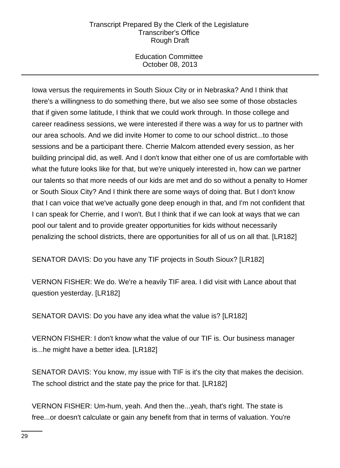Education Committee October 08, 2013

Iowa versus the requirements in South Sioux City or in Nebraska? And I think that there's a willingness to do something there, but we also see some of those obstacles that if given some latitude, I think that we could work through. In those college and career readiness sessions, we were interested if there was a way for us to partner with our area schools. And we did invite Homer to come to our school district...to those sessions and be a participant there. Cherrie Malcom attended every session, as her building principal did, as well. And I don't know that either one of us are comfortable with what the future looks like for that, but we're uniquely interested in, how can we partner our talents so that more needs of our kids are met and do so without a penalty to Homer or South Sioux City? And I think there are some ways of doing that. But I don't know that I can voice that we've actually gone deep enough in that, and I'm not confident that I can speak for Cherrie, and I won't. But I think that if we can look at ways that we can pool our talent and to provide greater opportunities for kids without necessarily penalizing the school districts, there are opportunities for all of us on all that. [LR182]

SENATOR DAVIS: Do you have any TIF projects in South Sioux? [LR182]

VERNON FISHER: We do. We're a heavily TIF area. I did visit with Lance about that question yesterday. [LR182]

SENATOR DAVIS: Do you have any idea what the value is? [LR182]

VERNON FISHER: I don't know what the value of our TIF is. Our business manager is...he might have a better idea. [LR182]

SENATOR DAVIS: You know, my issue with TIF is it's the city that makes the decision. The school district and the state pay the price for that. [LR182]

VERNON FISHER: Um-hum, yeah. And then the...yeah, that's right. The state is free...or doesn't calculate or gain any benefit from that in terms of valuation. You're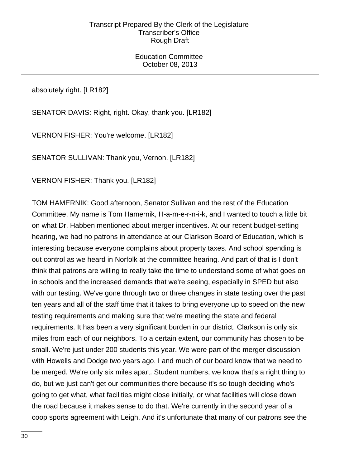Education Committee October 08, 2013

absolutely right. [LR182]

SENATOR DAVIS: Right, right. Okay, thank you. [LR182]

VERNON FISHER: You're welcome. [LR182]

SENATOR SULLIVAN: Thank you, Vernon. [LR182]

VERNON FISHER: Thank you. [LR182]

TOM HAMERNIK: Good afternoon, Senator Sullivan and the rest of the Education Committee. My name is Tom Hamernik, H-a-m-e-r-n-i-k, and I wanted to touch a little bit on what Dr. Habben mentioned about merger incentives. At our recent budget-setting hearing, we had no patrons in attendance at our Clarkson Board of Education, which is interesting because everyone complains about property taxes. And school spending is out control as we heard in Norfolk at the committee hearing. And part of that is I don't think that patrons are willing to really take the time to understand some of what goes on in schools and the increased demands that we're seeing, especially in SPED but also with our testing. We've gone through two or three changes in state testing over the past ten years and all of the staff time that it takes to bring everyone up to speed on the new testing requirements and making sure that we're meeting the state and federal requirements. It has been a very significant burden in our district. Clarkson is only six miles from each of our neighbors. To a certain extent, our community has chosen to be small. We're just under 200 students this year. We were part of the merger discussion with Howells and Dodge two years ago. I and much of our board know that we need to be merged. We're only six miles apart. Student numbers, we know that's a right thing to do, but we just can't get our communities there because it's so tough deciding who's going to get what, what facilities might close initially, or what facilities will close down the road because it makes sense to do that. We're currently in the second year of a coop sports agreement with Leigh. And it's unfortunate that many of our patrons see the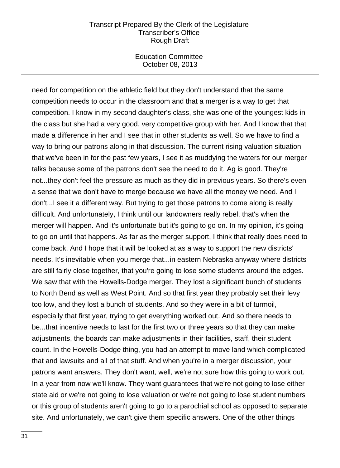Education Committee October 08, 2013

need for competition on the athletic field but they don't understand that the same competition needs to occur in the classroom and that a merger is a way to get that competition. I know in my second daughter's class, she was one of the youngest kids in the class but she had a very good, very competitive group with her. And I know that that made a difference in her and I see that in other students as well. So we have to find a way to bring our patrons along in that discussion. The current rising valuation situation that we've been in for the past few years, I see it as muddying the waters for our merger talks because some of the patrons don't see the need to do it. Ag is good. They're not...they don't feel the pressure as much as they did in previous years. So there's even a sense that we don't have to merge because we have all the money we need. And I don't...I see it a different way. But trying to get those patrons to come along is really difficult. And unfortunately, I think until our landowners really rebel, that's when the merger will happen. And it's unfortunate but it's going to go on. In my opinion, it's going to go on until that happens. As far as the merger support, I think that really does need to come back. And I hope that it will be looked at as a way to support the new districts' needs. It's inevitable when you merge that...in eastern Nebraska anyway where districts are still fairly close together, that you're going to lose some students around the edges. We saw that with the Howells-Dodge merger. They lost a significant bunch of students to North Bend as well as West Point. And so that first year they probably set their levy too low, and they lost a bunch of students. And so they were in a bit of turmoil, especially that first year, trying to get everything worked out. And so there needs to be...that incentive needs to last for the first two or three years so that they can make adjustments, the boards can make adjustments in their facilities, staff, their student count. In the Howells-Dodge thing, you had an attempt to move land which complicated that and lawsuits and all of that stuff. And when you're in a merger discussion, your patrons want answers. They don't want, well, we're not sure how this going to work out. In a year from now we'll know. They want guarantees that we're not going to lose either state aid or we're not going to lose valuation or we're not going to lose student numbers or this group of students aren't going to go to a parochial school as opposed to separate site. And unfortunately, we can't give them specific answers. One of the other things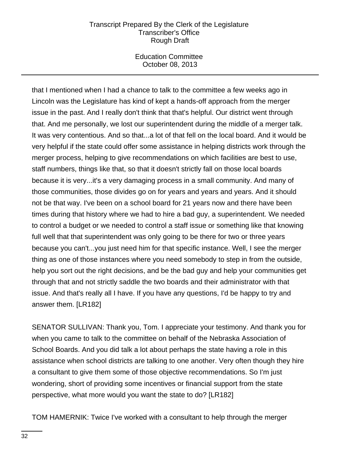Education Committee October 08, 2013

that I mentioned when I had a chance to talk to the committee a few weeks ago in Lincoln was the Legislature has kind of kept a hands-off approach from the merger issue in the past. And I really don't think that that's helpful. Our district went through that. And me personally, we lost our superintendent during the middle of a merger talk. It was very contentious. And so that...a lot of that fell on the local board. And it would be very helpful if the state could offer some assistance in helping districts work through the merger process, helping to give recommendations on which facilities are best to use, staff numbers, things like that, so that it doesn't strictly fall on those local boards because it is very...it's a very damaging process in a small community. And many of those communities, those divides go on for years and years and years. And it should not be that way. I've been on a school board for 21 years now and there have been times during that history where we had to hire a bad guy, a superintendent. We needed to control a budget or we needed to control a staff issue or something like that knowing full well that that superintendent was only going to be there for two or three years because you can't...you just need him for that specific instance. Well, I see the merger thing as one of those instances where you need somebody to step in from the outside, help you sort out the right decisions, and be the bad guy and help your communities get through that and not strictly saddle the two boards and their administrator with that issue. And that's really all I have. If you have any questions, I'd be happy to try and answer them. [LR182]

SENATOR SULLIVAN: Thank you, Tom. I appreciate your testimony. And thank you for when you came to talk to the committee on behalf of the Nebraska Association of School Boards. And you did talk a lot about perhaps the state having a role in this assistance when school districts are talking to one another. Very often though they hire a consultant to give them some of those objective recommendations. So I'm just wondering, short of providing some incentives or financial support from the state perspective, what more would you want the state to do? [LR182]

TOM HAMERNIK: Twice I've worked with a consultant to help through the merger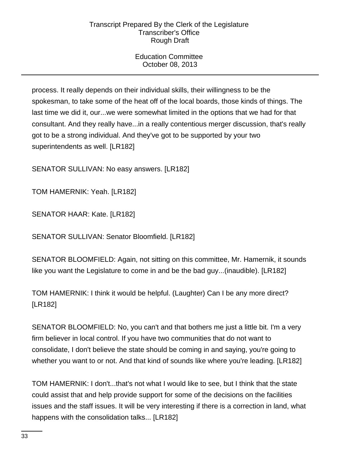Education Committee October 08, 2013

process. It really depends on their individual skills, their willingness to be the spokesman, to take some of the heat off of the local boards, those kinds of things. The last time we did it, our...we were somewhat limited in the options that we had for that consultant. And they really have...in a really contentious merger discussion, that's really got to be a strong individual. And they've got to be supported by your two superintendents as well. [LR182]

SENATOR SULLIVAN: No easy answers. [LR182]

TOM HAMERNIK: Yeah. [LR182]

SENATOR HAAR: Kate. [LR182]

SENATOR SULLIVAN: Senator Bloomfield. [LR182]

SENATOR BLOOMFIELD: Again, not sitting on this committee, Mr. Hamernik, it sounds like you want the Legislature to come in and be the bad guy...(inaudible). [LR182]

TOM HAMERNIK: I think it would be helpful. (Laughter) Can I be any more direct? [LR182]

SENATOR BLOOMFIELD: No, you can't and that bothers me just a little bit. I'm a very firm believer in local control. If you have two communities that do not want to consolidate, I don't believe the state should be coming in and saying, you're going to whether you want to or not. And that kind of sounds like where you're leading. [LR182]

TOM HAMERNIK: I don't...that's not what I would like to see, but I think that the state could assist that and help provide support for some of the decisions on the facilities issues and the staff issues. It will be very interesting if there is a correction in land, what happens with the consolidation talks... [LR182]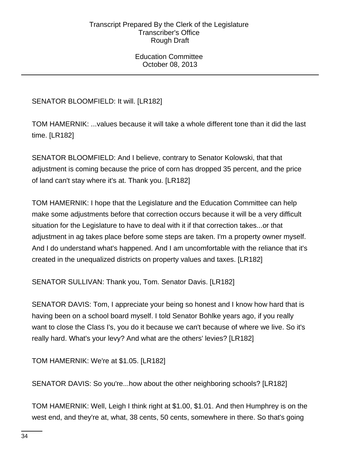Education Committee October 08, 2013

SENATOR BLOOMFIELD: It will. [LR182]

TOM HAMERNIK: ...values because it will take a whole different tone than it did the last time. [LR182]

SENATOR BLOOMFIELD: And I believe, contrary to Senator Kolowski, that that adjustment is coming because the price of corn has dropped 35 percent, and the price of land can't stay where it's at. Thank you. [LR182]

TOM HAMERNIK: I hope that the Legislature and the Education Committee can help make some adjustments before that correction occurs because it will be a very difficult situation for the Legislature to have to deal with it if that correction takes...or that adjustment in ag takes place before some steps are taken. I'm a property owner myself. And I do understand what's happened. And I am uncomfortable with the reliance that it's created in the unequalized districts on property values and taxes. [LR182]

SENATOR SULLIVAN: Thank you, Tom. Senator Davis. [LR182]

SENATOR DAVIS: Tom, I appreciate your being so honest and I know how hard that is having been on a school board myself. I told Senator Bohlke years ago, if you really want to close the Class I's, you do it because we can't because of where we live. So it's really hard. What's your levy? And what are the others' levies? [LR182]

TOM HAMERNIK: We're at \$1.05. [LR182]

SENATOR DAVIS: So you're...how about the other neighboring schools? [LR182]

TOM HAMERNIK: Well, Leigh I think right at \$1.00, \$1.01. And then Humphrey is on the west end, and they're at, what, 38 cents, 50 cents, somewhere in there. So that's going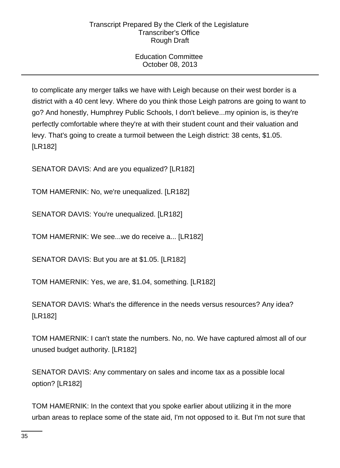# Education Committee October 08, 2013

to complicate any merger talks we have with Leigh because on their west border is a district with a 40 cent levy. Where do you think those Leigh patrons are going to want to go? And honestly, Humphrey Public Schools, I don't believe...my opinion is, is they're perfectly comfortable where they're at with their student count and their valuation and levy. That's going to create a turmoil between the Leigh district: 38 cents, \$1.05. [LR182]

SENATOR DAVIS: And are you equalized? [LR182]

TOM HAMERNIK: No, we're unequalized. [LR182]

SENATOR DAVIS: You're unequalized. [LR182]

TOM HAMERNIK: We see...we do receive a... [LR182]

SENATOR DAVIS: But you are at \$1.05. [LR182]

TOM HAMERNIK: Yes, we are, \$1.04, something. [LR182]

SENATOR DAVIS: What's the difference in the needs versus resources? Any idea? [LR182]

TOM HAMERNIK: I can't state the numbers. No, no. We have captured almost all of our unused budget authority. [LR182]

SENATOR DAVIS: Any commentary on sales and income tax as a possible local option? [LR182]

TOM HAMERNIK: In the context that you spoke earlier about utilizing it in the more urban areas to replace some of the state aid, I'm not opposed to it. But I'm not sure that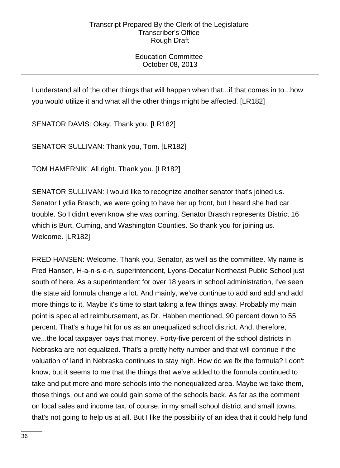Education Committee October 08, 2013

I understand all of the other things that will happen when that...if that comes in to...how you would utilize it and what all the other things might be affected. [LR182]

SENATOR DAVIS: Okay. Thank you. [LR182]

SENATOR SULLIVAN: Thank you, Tom. [LR182]

TOM HAMERNIK: All right. Thank you. [LR182]

SENATOR SULLIVAN: I would like to recognize another senator that's joined us. Senator Lydia Brasch, we were going to have her up front, but I heard she had car trouble. So I didn't even know she was coming. Senator Brasch represents District 16 which is Burt, Cuming, and Washington Counties. So thank you for joining us. Welcome. [LR182]

FRED HANSEN: Welcome. Thank you, Senator, as well as the committee. My name is Fred Hansen, H-a-n-s-e-n, superintendent, Lyons-Decatur Northeast Public School just south of here. As a superintendent for over 18 years in school administration, I've seen the state aid formula change a lot. And mainly, we've continue to add and add and add more things to it. Maybe it's time to start taking a few things away. Probably my main point is special ed reimbursement, as Dr. Habben mentioned, 90 percent down to 55 percent. That's a huge hit for us as an unequalized school district. And, therefore, we...the local taxpayer pays that money. Forty-five percent of the school districts in Nebraska are not equalized. That's a pretty hefty number and that will continue if the valuation of land in Nebraska continues to stay high. How do we fix the formula? I don't know, but it seems to me that the things that we've added to the formula continued to take and put more and more schools into the nonequalized area. Maybe we take them, those things, out and we could gain some of the schools back. As far as the comment on local sales and income tax, of course, in my small school district and small towns, that's not going to help us at all. But I like the possibility of an idea that it could help fund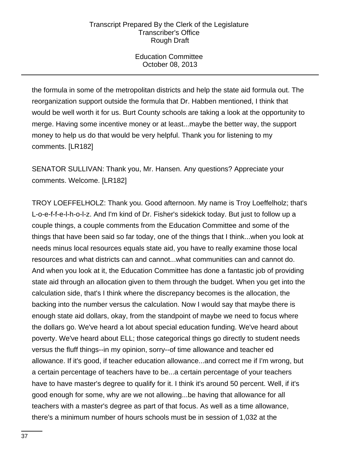Education Committee October 08, 2013

the formula in some of the metropolitan districts and help the state aid formula out. The reorganization support outside the formula that Dr. Habben mentioned, I think that would be well worth it for us. Burt County schools are taking a look at the opportunity to merge. Having some incentive money or at least...maybe the better way, the support money to help us do that would be very helpful. Thank you for listening to my comments. [LR182]

SENATOR SULLIVAN: Thank you, Mr. Hansen. Any questions? Appreciate your comments. Welcome. [LR182]

TROY LOEFFELHOLZ: Thank you. Good afternoon. My name is Troy Loeffelholz; that's L-o-e-f-f-e-l-h-o-l-z. And I'm kind of Dr. Fisher's sidekick today. But just to follow up a couple things, a couple comments from the Education Committee and some of the things that have been said so far today, one of the things that I think...when you look at needs minus local resources equals state aid, you have to really examine those local resources and what districts can and cannot...what communities can and cannot do. And when you look at it, the Education Committee has done a fantastic job of providing state aid through an allocation given to them through the budget. When you get into the calculation side, that's I think where the discrepancy becomes is the allocation, the backing into the number versus the calculation. Now I would say that maybe there is enough state aid dollars, okay, from the standpoint of maybe we need to focus where the dollars go. We've heard a lot about special education funding. We've heard about poverty. We've heard about ELL; those categorical things go directly to student needs versus the fluff things--in my opinion, sorry--of time allowance and teacher ed allowance. If it's good, if teacher education allowance...and correct me if I'm wrong, but a certain percentage of teachers have to be...a certain percentage of your teachers have to have master's degree to qualify for it. I think it's around 50 percent. Well, if it's good enough for some, why are we not allowing...be having that allowance for all teachers with a master's degree as part of that focus. As well as a time allowance, there's a minimum number of hours schools must be in session of 1,032 at the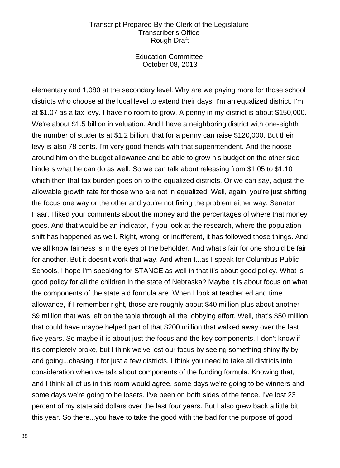Education Committee October 08, 2013

elementary and 1,080 at the secondary level. Why are we paying more for those school districts who choose at the local level to extend their days. I'm an equalized district. I'm at \$1.07 as a tax levy. I have no room to grow. A penny in my district is about \$150,000. We're about \$1.5 billion in valuation. And I have a neighboring district with one-eighth the number of students at \$1.2 billion, that for a penny can raise \$120,000. But their levy is also 78 cents. I'm very good friends with that superintendent. And the noose around him on the budget allowance and be able to grow his budget on the other side hinders what he can do as well. So we can talk about releasing from \$1.05 to \$1.10 which then that tax burden goes on to the equalized districts. Or we can say, adjust the allowable growth rate for those who are not in equalized. Well, again, you're just shifting the focus one way or the other and you're not fixing the problem either way. Senator Haar, I liked your comments about the money and the percentages of where that money goes. And that would be an indicator, if you look at the research, where the population shift has happened as well. Right, wrong, or indifferent, it has followed those things. And we all know fairness is in the eyes of the beholder. And what's fair for one should be fair for another. But it doesn't work that way. And when I...as I speak for Columbus Public Schools, I hope I'm speaking for STANCE as well in that it's about good policy. What is good policy for all the children in the state of Nebraska? Maybe it is about focus on what the components of the state aid formula are. When I look at teacher ed and time allowance, if I remember right, those are roughly about \$40 million plus about another \$9 million that was left on the table through all the lobbying effort. Well, that's \$50 million that could have maybe helped part of that \$200 million that walked away over the last five years. So maybe it is about just the focus and the key components. I don't know if it's completely broke, but I think we've lost our focus by seeing something shiny fly by and going...chasing it for just a few districts. I think you need to take all districts into consideration when we talk about components of the funding formula. Knowing that, and I think all of us in this room would agree, some days we're going to be winners and some days we're going to be losers. I've been on both sides of the fence. I've lost 23 percent of my state aid dollars over the last four years. But I also grew back a little bit this year. So there...you have to take the good with the bad for the purpose of good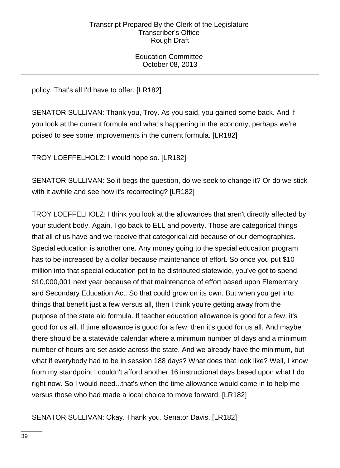Education Committee October 08, 2013

policy. That's all I'd have to offer. [LR182]

SENATOR SULLIVAN: Thank you, Troy. As you said, you gained some back. And if you look at the current formula and what's happening in the economy, perhaps we're poised to see some improvements in the current formula. [LR182]

TROY LOEFFELHOLZ: I would hope so. [LR182]

SENATOR SULLIVAN: So it begs the question, do we seek to change it? Or do we stick with it awhile and see how it's recorrecting? [LR182]

TROY LOEFFELHOLZ: I think you look at the allowances that aren't directly affected by your student body. Again, I go back to ELL and poverty. Those are categorical things that all of us have and we receive that categorical aid because of our demographics. Special education is another one. Any money going to the special education program has to be increased by a dollar because maintenance of effort. So once you put \$10 million into that special education pot to be distributed statewide, you've got to spend \$10,000,001 next year because of that maintenance of effort based upon Elementary and Secondary Education Act. So that could grow on its own. But when you get into things that benefit just a few versus all, then I think you're getting away from the purpose of the state aid formula. If teacher education allowance is good for a few, it's good for us all. If time allowance is good for a few, then it's good for us all. And maybe there should be a statewide calendar where a minimum number of days and a minimum number of hours are set aside across the state. And we already have the minimum, but what if everybody had to be in session 188 days? What does that look like? Well, I know from my standpoint I couldn't afford another 16 instructional days based upon what I do right now. So I would need...that's when the time allowance would come in to help me versus those who had made a local choice to move forward. [LR182]

SENATOR SULLIVAN: Okay. Thank you. Senator Davis. [LR182]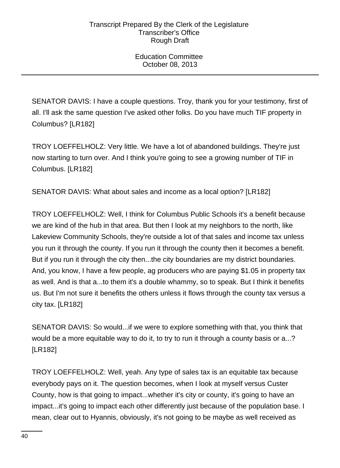Education Committee October 08, 2013

SENATOR DAVIS: I have a couple questions. Troy, thank you for your testimony, first of all. I'll ask the same question I've asked other folks. Do you have much TIF property in Columbus? [LR182]

TROY LOEFFELHOLZ: Very little. We have a lot of abandoned buildings. They're just now starting to turn over. And I think you're going to see a growing number of TIF in Columbus. [LR182]

SENATOR DAVIS: What about sales and income as a local option? [LR182]

TROY LOEFFELHOLZ: Well, I think for Columbus Public Schools it's a benefit because we are kind of the hub in that area. But then I look at my neighbors to the north, like Lakeview Community Schools, they're outside a lot of that sales and income tax unless you run it through the county. If you run it through the county then it becomes a benefit. But if you run it through the city then...the city boundaries are my district boundaries. And, you know, I have a few people, ag producers who are paying \$1.05 in property tax as well. And is that a...to them it's a double whammy, so to speak. But I think it benefits us. But I'm not sure it benefits the others unless it flows through the county tax versus a city tax. [LR182]

SENATOR DAVIS: So would...if we were to explore something with that, you think that would be a more equitable way to do it, to try to run it through a county basis or a...? [LR182]

TROY LOEFFELHOLZ: Well, yeah. Any type of sales tax is an equitable tax because everybody pays on it. The question becomes, when I look at myself versus Custer County, how is that going to impact...whether it's city or county, it's going to have an impact...it's going to impact each other differently just because of the population base. I mean, clear out to Hyannis, obviously, it's not going to be maybe as well received as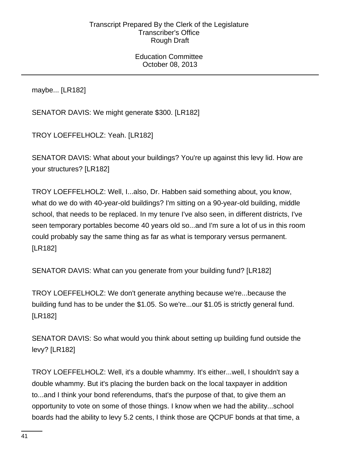Education Committee October 08, 2013

maybe... [LR182]

SENATOR DAVIS: We might generate \$300. [LR182]

TROY LOEFFELHOLZ: Yeah. [LR182]

SENATOR DAVIS: What about your buildings? You're up against this levy lid. How are your structures? [LR182]

TROY LOEFFELHOLZ: Well, I...also, Dr. Habben said something about, you know, what do we do with 40-year-old buildings? I'm sitting on a 90-year-old building, middle school, that needs to be replaced. In my tenure I've also seen, in different districts, I've seen temporary portables become 40 years old so...and I'm sure a lot of us in this room could probably say the same thing as far as what is temporary versus permanent. [LR182]

SENATOR DAVIS: What can you generate from your building fund? [LR182]

TROY LOEFFELHOLZ: We don't generate anything because we're...because the building fund has to be under the \$1.05. So we're...our \$1.05 is strictly general fund. [LR182]

SENATOR DAVIS: So what would you think about setting up building fund outside the levy? [LR182]

TROY LOEFFELHOLZ: Well, it's a double whammy. It's either...well, I shouldn't say a double whammy. But it's placing the burden back on the local taxpayer in addition to...and I think your bond referendums, that's the purpose of that, to give them an opportunity to vote on some of those things. I know when we had the ability...school boards had the ability to levy 5.2 cents, I think those are QCPUF bonds at that time, a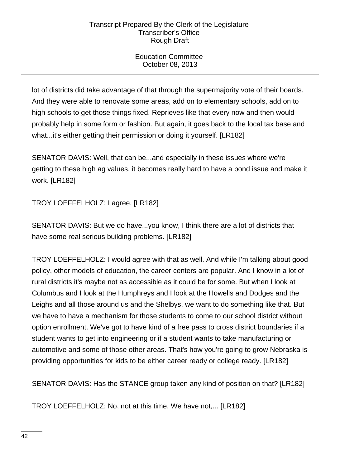Education Committee October 08, 2013

lot of districts did take advantage of that through the supermajority vote of their boards. And they were able to renovate some areas, add on to elementary schools, add on to high schools to get those things fixed. Reprieves like that every now and then would probably help in some form or fashion. But again, it goes back to the local tax base and what...it's either getting their permission or doing it yourself. [LR182]

SENATOR DAVIS: Well, that can be...and especially in these issues where we're getting to these high ag values, it becomes really hard to have a bond issue and make it work. [LR182]

TROY LOEFFELHOLZ: I agree. [LR182]

SENATOR DAVIS: But we do have...you know, I think there are a lot of districts that have some real serious building problems. [LR182]

TROY LOEFFELHOLZ: I would agree with that as well. And while I'm talking about good policy, other models of education, the career centers are popular. And I know in a lot of rural districts it's maybe not as accessible as it could be for some. But when I look at Columbus and I look at the Humphreys and I look at the Howells and Dodges and the Leighs and all those around us and the Shelbys, we want to do something like that. But we have to have a mechanism for those students to come to our school district without option enrollment. We've got to have kind of a free pass to cross district boundaries if a student wants to get into engineering or if a student wants to take manufacturing or automotive and some of those other areas. That's how you're going to grow Nebraska is providing opportunities for kids to be either career ready or college ready. [LR182]

SENATOR DAVIS: Has the STANCE group taken any kind of position on that? [LR182]

TROY LOEFFELHOLZ: No, not at this time. We have not,... [LR182]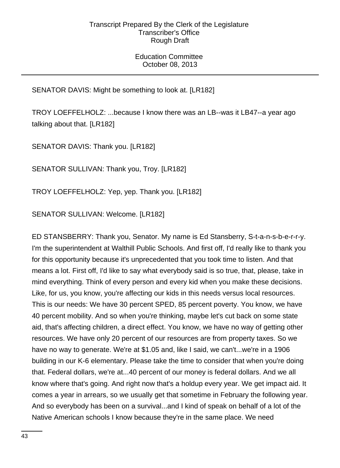Education Committee October 08, 2013

SENATOR DAVIS: Might be something to look at. [LR182]

TROY LOEFFELHOLZ: ...because I know there was an LB--was it LB47--a year ago talking about that. [LR182]

SENATOR DAVIS: Thank you. [LR182]

SENATOR SULLIVAN: Thank you, Troy. [LR182]

TROY LOEFFELHOLZ: Yep, yep. Thank you. [LR182]

SENATOR SULLIVAN: Welcome. [LR182]

ED STANSBERRY: Thank you, Senator. My name is Ed Stansberry, S-t-a-n-s-b-e-r-r-y. I'm the superintendent at Walthill Public Schools. And first off, I'd really like to thank you for this opportunity because it's unprecedented that you took time to listen. And that means a lot. First off, I'd like to say what everybody said is so true, that, please, take in mind everything. Think of every person and every kid when you make these decisions. Like, for us, you know, you're affecting our kids in this needs versus local resources. This is our needs: We have 30 percent SPED, 85 percent poverty. You know, we have 40 percent mobility. And so when you're thinking, maybe let's cut back on some state aid, that's affecting children, a direct effect. You know, we have no way of getting other resources. We have only 20 percent of our resources are from property taxes. So we have no way to generate. We're at \$1.05 and, like I said, we can't...we're in a 1906 building in our K-6 elementary. Please take the time to consider that when you're doing that. Federal dollars, we're at...40 percent of our money is federal dollars. And we all know where that's going. And right now that's a holdup every year. We get impact aid. It comes a year in arrears, so we usually get that sometime in February the following year. And so everybody has been on a survival...and I kind of speak on behalf of a lot of the Native American schools I know because they're in the same place. We need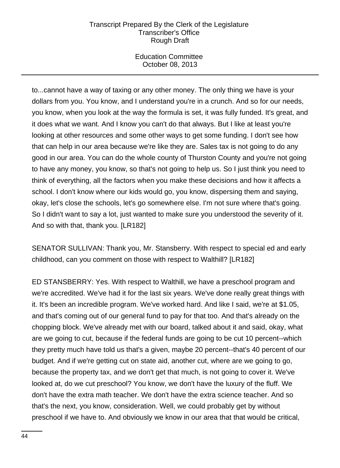Education Committee October 08, 2013

to...cannot have a way of taxing or any other money. The only thing we have is your dollars from you. You know, and I understand you're in a crunch. And so for our needs, you know, when you look at the way the formula is set, it was fully funded. It's great, and it does what we want. And I know you can't do that always. But I like at least you're looking at other resources and some other ways to get some funding. I don't see how that can help in our area because we're like they are. Sales tax is not going to do any good in our area. You can do the whole county of Thurston County and you're not going to have any money, you know, so that's not going to help us. So I just think you need to think of everything, all the factors when you make these decisions and how it affects a school. I don't know where our kids would go, you know, dispersing them and saying, okay, let's close the schools, let's go somewhere else. I'm not sure where that's going. So I didn't want to say a lot, just wanted to make sure you understood the severity of it. And so with that, thank you. [LR182]

SENATOR SULLIVAN: Thank you, Mr. Stansberry. With respect to special ed and early childhood, can you comment on those with respect to Walthill? [LR182]

ED STANSBERRY: Yes. With respect to Walthill, we have a preschool program and we're accredited. We've had it for the last six years. We've done really great things with it. It's been an incredible program. We've worked hard. And like I said, we're at \$1.05, and that's coming out of our general fund to pay for that too. And that's already on the chopping block. We've already met with our board, talked about it and said, okay, what are we going to cut, because if the federal funds are going to be cut 10 percent--which they pretty much have told us that's a given, maybe 20 percent--that's 40 percent of our budget. And if we're getting cut on state aid, another cut, where are we going to go, because the property tax, and we don't get that much, is not going to cover it. We've looked at, do we cut preschool? You know, we don't have the luxury of the fluff. We don't have the extra math teacher. We don't have the extra science teacher. And so that's the next, you know, consideration. Well, we could probably get by without preschool if we have to. And obviously we know in our area that that would be critical,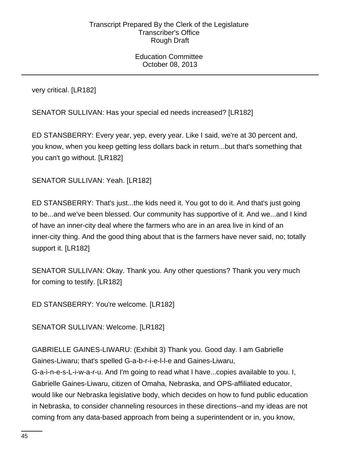Education Committee October 08, 2013

very critical. [LR182]

SENATOR SULLIVAN: Has your special ed needs increased? [LR182]

ED STANSBERRY: Every year, yep, every year. Like I said, we're at 30 percent and, you know, when you keep getting less dollars back in return...but that's something that you can't go without. [LR182]

SENATOR SULLIVAN: Yeah. [LR182]

ED STANSBERRY: That's just...the kids need it. You got to do it. And that's just going to be...and we've been blessed. Our community has supportive of it. And we...and I kind of have an inner-city deal where the farmers who are in an area live in kind of an inner-city thing. And the good thing about that is the farmers have never said, no; totally support it. [LR182]

SENATOR SULLIVAN: Okay. Thank you. Any other questions? Thank you very much for coming to testify. [LR182]

ED STANSBERRY: You're welcome. [LR182]

SENATOR SULLIVAN: Welcome. [LR182]

GABRIELLE GAINES-LIWARU: (Exhibit 3) Thank you. Good day. I am Gabrielle Gaines-Liwaru; that's spelled G-a-b-r-i-e-l-l-e and Gaines-Liwaru,

G-a-i-n-e-s-L-i-w-a-r-u. And I'm going to read what I have...copies available to you. I, Gabrielle Gaines-Liwaru, citizen of Omaha, Nebraska, and OPS-affiliated educator, would like our Nebraska legislative body, which decides on how to fund public education in Nebraska, to consider channeling resources in these directions--and my ideas are not coming from any data-based approach from being a superintendent or in, you know,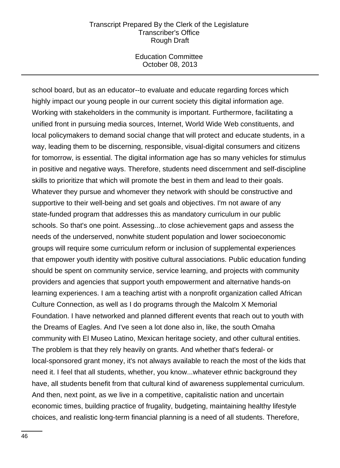Education Committee October 08, 2013

school board, but as an educator--to evaluate and educate regarding forces which highly impact our young people in our current society this digital information age. Working with stakeholders in the community is important. Furthermore, facilitating a unified front in pursuing media sources, Internet, World Wide Web constituents, and local policymakers to demand social change that will protect and educate students, in a way, leading them to be discerning, responsible, visual-digital consumers and citizens for tomorrow, is essential. The digital information age has so many vehicles for stimulus in positive and negative ways. Therefore, students need discernment and self-discipline skills to prioritize that which will promote the best in them and lead to their goals. Whatever they pursue and whomever they network with should be constructive and supportive to their well-being and set goals and objectives. I'm not aware of any state-funded program that addresses this as mandatory curriculum in our public schools. So that's one point. Assessing...to close achievement gaps and assess the needs of the underserved, nonwhite student population and lower socioeconomic groups will require some curriculum reform or inclusion of supplemental experiences that empower youth identity with positive cultural associations. Public education funding should be spent on community service, service learning, and projects with community providers and agencies that support youth empowerment and alternative hands-on learning experiences. I am a teaching artist with a nonprofit organization called African Culture Connection, as well as I do programs through the Malcolm X Memorial Foundation. I have networked and planned different events that reach out to youth with the Dreams of Eagles. And I've seen a lot done also in, like, the south Omaha community with El Museo Latino, Mexican heritage society, and other cultural entities. The problem is that they rely heavily on grants. And whether that's federal- or local-sponsored grant money, it's not always available to reach the most of the kids that need it. I feel that all students, whether, you know...whatever ethnic background they have, all students benefit from that cultural kind of awareness supplemental curriculum. And then, next point, as we live in a competitive, capitalistic nation and uncertain economic times, building practice of frugality, budgeting, maintaining healthy lifestyle choices, and realistic long-term financial planning is a need of all students. Therefore,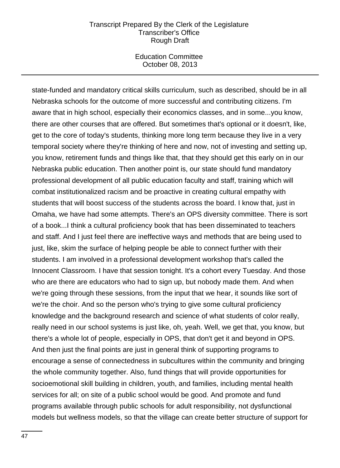Education Committee October 08, 2013

state-funded and mandatory critical skills curriculum, such as described, should be in all Nebraska schools for the outcome of more successful and contributing citizens. I'm aware that in high school, especially their economics classes, and in some...you know, there are other courses that are offered. But sometimes that's optional or it doesn't, like, get to the core of today's students, thinking more long term because they live in a very temporal society where they're thinking of here and now, not of investing and setting up, you know, retirement funds and things like that, that they should get this early on in our Nebraska public education. Then another point is, our state should fund mandatory professional development of all public education faculty and staff, training which will combat institutionalized racism and be proactive in creating cultural empathy with students that will boost success of the students across the board. I know that, just in Omaha, we have had some attempts. There's an OPS diversity committee. There is sort of a book...I think a cultural proficiency book that has been disseminated to teachers and staff. And I just feel there are ineffective ways and methods that are being used to just, like, skim the surface of helping people be able to connect further with their students. I am involved in a professional development workshop that's called the Innocent Classroom. I have that session tonight. It's a cohort every Tuesday. And those who are there are educators who had to sign up, but nobody made them. And when we're going through these sessions, from the input that we hear, it sounds like sort of we're the choir. And so the person who's trying to give some cultural proficiency knowledge and the background research and science of what students of color really, really need in our school systems is just like, oh, yeah. Well, we get that, you know, but there's a whole lot of people, especially in OPS, that don't get it and beyond in OPS. And then just the final points are just in general think of supporting programs to encourage a sense of connectedness in subcultures within the community and bringing the whole community together. Also, fund things that will provide opportunities for socioemotional skill building in children, youth, and families, including mental health services for all; on site of a public school would be good. And promote and fund programs available through public schools for adult responsibility, not dysfunctional models but wellness models, so that the village can create better structure of support for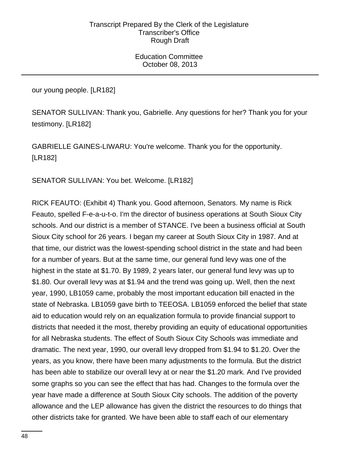Education Committee October 08, 2013

our young people. [LR182]

SENATOR SULLIVAN: Thank you, Gabrielle. Any questions for her? Thank you for your testimony. [LR182]

GABRIELLE GAINES-LIWARU: You're welcome. Thank you for the opportunity. [LR182]

SENATOR SULLIVAN: You bet. Welcome. [LR182]

RICK FEAUTO: (Exhibit 4) Thank you. Good afternoon, Senators. My name is Rick Feauto, spelled F-e-a-u-t-o. I'm the director of business operations at South Sioux City schools. And our district is a member of STANCE. I've been a business official at South Sioux City school for 26 years. I began my career at South Sioux City in 1987. And at that time, our district was the lowest-spending school district in the state and had been for a number of years. But at the same time, our general fund levy was one of the highest in the state at \$1.70. By 1989, 2 years later, our general fund levy was up to \$1.80. Our overall levy was at \$1.94 and the trend was going up. Well, then the next year, 1990, LB1059 came, probably the most important education bill enacted in the state of Nebraska. LB1059 gave birth to TEEOSA. LB1059 enforced the belief that state aid to education would rely on an equalization formula to provide financial support to districts that needed it the most, thereby providing an equity of educational opportunities for all Nebraska students. The effect of South Sioux City Schools was immediate and dramatic. The next year, 1990, our overall levy dropped from \$1.94 to \$1.20. Over the years, as you know, there have been many adjustments to the formula. But the district has been able to stabilize our overall levy at or near the \$1.20 mark. And I've provided some graphs so you can see the effect that has had. Changes to the formula over the year have made a difference at South Sioux City schools. The addition of the poverty allowance and the LEP allowance has given the district the resources to do things that other districts take for granted. We have been able to staff each of our elementary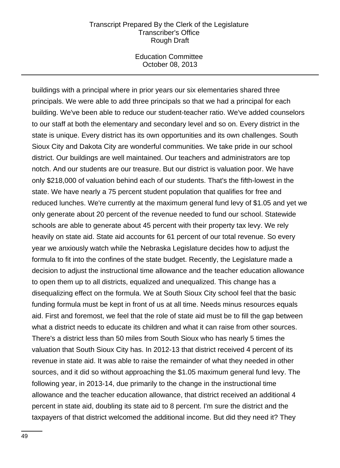Education Committee October 08, 2013

buildings with a principal where in prior years our six elementaries shared three principals. We were able to add three principals so that we had a principal for each building. We've been able to reduce our student-teacher ratio. We've added counselors to our staff at both the elementary and secondary level and so on. Every district in the state is unique. Every district has its own opportunities and its own challenges. South Sioux City and Dakota City are wonderful communities. We take pride in our school district. Our buildings are well maintained. Our teachers and administrators are top notch. And our students are our treasure. But our district is valuation poor. We have only \$218,000 of valuation behind each of our students. That's the fifth-lowest in the state. We have nearly a 75 percent student population that qualifies for free and reduced lunches. We're currently at the maximum general fund levy of \$1.05 and yet we only generate about 20 percent of the revenue needed to fund our school. Statewide schools are able to generate about 45 percent with their property tax levy. We rely heavily on state aid. State aid accounts for 61 percent of our total revenue. So every year we anxiously watch while the Nebraska Legislature decides how to adjust the formula to fit into the confines of the state budget. Recently, the Legislature made a decision to adjust the instructional time allowance and the teacher education allowance to open them up to all districts, equalized and unequalized. This change has a disequalizing effect on the formula. We at South Sioux City school feel that the basic funding formula must be kept in front of us at all time. Needs minus resources equals aid. First and foremost, we feel that the role of state aid must be to fill the gap between what a district needs to educate its children and what it can raise from other sources. There's a district less than 50 miles from South Sioux who has nearly 5 times the valuation that South Sioux City has. In 2012-13 that district received 4 percent of its revenue in state aid. It was able to raise the remainder of what they needed in other sources, and it did so without approaching the \$1.05 maximum general fund levy. The following year, in 2013-14, due primarily to the change in the instructional time allowance and the teacher education allowance, that district received an additional 4 percent in state aid, doubling its state aid to 8 percent. I'm sure the district and the taxpayers of that district welcomed the additional income. But did they need it? They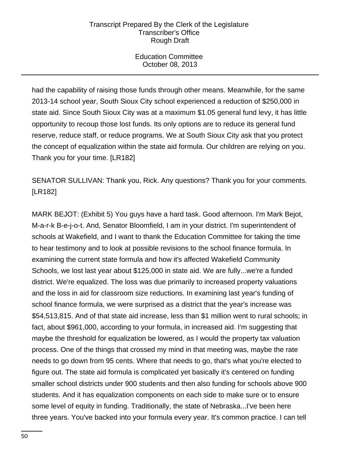Education Committee October 08, 2013

had the capability of raising those funds through other means. Meanwhile, for the same 2013-14 school year, South Sioux City school experienced a reduction of \$250,000 in state aid. Since South Sioux City was at a maximum \$1.05 general fund levy, it has little opportunity to recoup those lost funds. Its only options are to reduce its general fund reserve, reduce staff, or reduce programs. We at South Sioux City ask that you protect the concept of equalization within the state aid formula. Our children are relying on you. Thank you for your time. [LR182]

SENATOR SULLIVAN: Thank you, Rick. Any questions? Thank you for your comments. [LR182]

MARK BEJOT: (Exhibit 5) You guys have a hard task. Good afternoon. I'm Mark Bejot, M-a-r-k B-e-j-o-t. And, Senator Bloomfield, I am in your district. I'm superintendent of schools at Wakefield, and I want to thank the Education Committee for taking the time to hear testimony and to look at possible revisions to the school finance formula. In examining the current state formula and how it's affected Wakefield Community Schools, we lost last year about \$125,000 in state aid. We are fully...we're a funded district. We're equalized. The loss was due primarily to increased property valuations and the loss in aid for classroom size reductions. In examining last year's funding of school finance formula, we were surprised as a district that the year's increase was \$54,513,815. And of that state aid increase, less than \$1 million went to rural schools; in fact, about \$961,000, according to your formula, in increased aid. I'm suggesting that maybe the threshold for equalization be lowered, as I would the property tax valuation process. One of the things that crossed my mind in that meeting was, maybe the rate needs to go down from 95 cents. Where that needs to go, that's what you're elected to figure out. The state aid formula is complicated yet basically it's centered on funding smaller school districts under 900 students and then also funding for schools above 900 students. And it has equalization components on each side to make sure or to ensure some level of equity in funding. Traditionally, the state of Nebraska...I've been here three years. You've backed into your formula every year. It's common practice. I can tell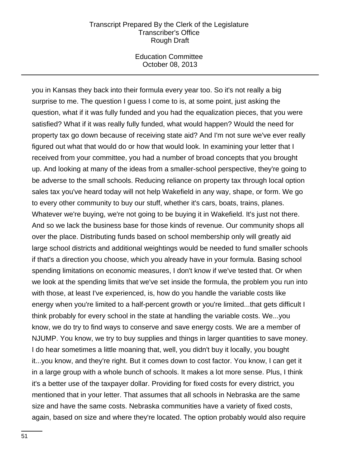Education Committee October 08, 2013

you in Kansas they back into their formula every year too. So it's not really a big surprise to me. The question I guess I come to is, at some point, just asking the question, what if it was fully funded and you had the equalization pieces, that you were satisfied? What if it was really fully funded, what would happen? Would the need for property tax go down because of receiving state aid? And I'm not sure we've ever really figured out what that would do or how that would look. In examining your letter that I received from your committee, you had a number of broad concepts that you brought up. And looking at many of the ideas from a smaller-school perspective, they're going to be adverse to the small schools. Reducing reliance on property tax through local option sales tax you've heard today will not help Wakefield in any way, shape, or form. We go to every other community to buy our stuff, whether it's cars, boats, trains, planes. Whatever we're buying, we're not going to be buying it in Wakefield. It's just not there. And so we lack the business base for those kinds of revenue. Our community shops all over the place. Distributing funds based on school membership only will greatly aid large school districts and additional weightings would be needed to fund smaller schools if that's a direction you choose, which you already have in your formula. Basing school spending limitations on economic measures, I don't know if we've tested that. Or when we look at the spending limits that we've set inside the formula, the problem you run into with those, at least I've experienced, is, how do you handle the variable costs like energy when you're limited to a half-percent growth or you're limited...that gets difficult I think probably for every school in the state at handling the variable costs. We...you know, we do try to find ways to conserve and save energy costs. We are a member of NJUMP. You know, we try to buy supplies and things in larger quantities to save money. I do hear sometimes a little moaning that, well, you didn't buy it locally, you bought it...you know, and they're right. But it comes down to cost factor. You know, I can get it in a large group with a whole bunch of schools. It makes a lot more sense. Plus, I think it's a better use of the taxpayer dollar. Providing for fixed costs for every district, you mentioned that in your letter. That assumes that all schools in Nebraska are the same size and have the same costs. Nebraska communities have a variety of fixed costs, again, based on size and where they're located. The option probably would also require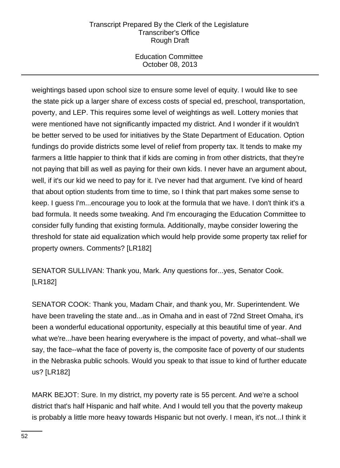Education Committee October 08, 2013

weightings based upon school size to ensure some level of equity. I would like to see the state pick up a larger share of excess costs of special ed, preschool, transportation, poverty, and LEP. This requires some level of weightings as well. Lottery monies that were mentioned have not significantly impacted my district. And I wonder if it wouldn't be better served to be used for initiatives by the State Department of Education. Option fundings do provide districts some level of relief from property tax. It tends to make my farmers a little happier to think that if kids are coming in from other districts, that they're not paying that bill as well as paying for their own kids. I never have an argument about, well, if it's our kid we need to pay for it. I've never had that argument. I've kind of heard that about option students from time to time, so I think that part makes some sense to keep. I guess I'm...encourage you to look at the formula that we have. I don't think it's a bad formula. It needs some tweaking. And I'm encouraging the Education Committee to consider fully funding that existing formula. Additionally, maybe consider lowering the threshold for state aid equalization which would help provide some property tax relief for property owners. Comments? [LR182]

SENATOR SULLIVAN: Thank you, Mark. Any questions for...yes, Senator Cook. [LR182]

SENATOR COOK: Thank you, Madam Chair, and thank you, Mr. Superintendent. We have been traveling the state and...as in Omaha and in east of 72nd Street Omaha, it's been a wonderful educational opportunity, especially at this beautiful time of year. And what we're...have been hearing everywhere is the impact of poverty, and what--shall we say, the face--what the face of poverty is, the composite face of poverty of our students in the Nebraska public schools. Would you speak to that issue to kind of further educate us? [LR182]

MARK BEJOT: Sure. In my district, my poverty rate is 55 percent. And we're a school district that's half Hispanic and half white. And I would tell you that the poverty makeup is probably a little more heavy towards Hispanic but not overly. I mean, it's not...I think it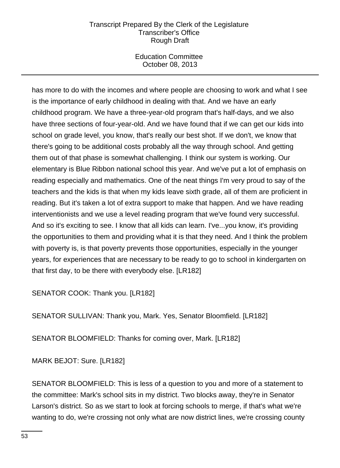Education Committee October 08, 2013

has more to do with the incomes and where people are choosing to work and what I see is the importance of early childhood in dealing with that. And we have an early childhood program. We have a three-year-old program that's half-days, and we also have three sections of four-year-old. And we have found that if we can get our kids into school on grade level, you know, that's really our best shot. If we don't, we know that there's going to be additional costs probably all the way through school. And getting them out of that phase is somewhat challenging. I think our system is working. Our elementary is Blue Ribbon national school this year. And we've put a lot of emphasis on reading especially and mathematics. One of the neat things I'm very proud to say of the teachers and the kids is that when my kids leave sixth grade, all of them are proficient in reading. But it's taken a lot of extra support to make that happen. And we have reading interventionists and we use a level reading program that we've found very successful. And so it's exciting to see. I know that all kids can learn. I've...you know, it's providing the opportunities to them and providing what it is that they need. And I think the problem with poverty is, is that poverty prevents those opportunities, especially in the younger years, for experiences that are necessary to be ready to go to school in kindergarten on that first day, to be there with everybody else. [LR182]

SENATOR COOK: Thank you. [LR182]

SENATOR SULLIVAN: Thank you, Mark. Yes, Senator Bloomfield. [LR182]

SENATOR BLOOMFIELD: Thanks for coming over, Mark. [LR182]

MARK BEJOT: Sure. [LR182]

SENATOR BLOOMFIELD: This is less of a question to you and more of a statement to the committee: Mark's school sits in my district. Two blocks away, they're in Senator Larson's district. So as we start to look at forcing schools to merge, if that's what we're wanting to do, we're crossing not only what are now district lines, we're crossing county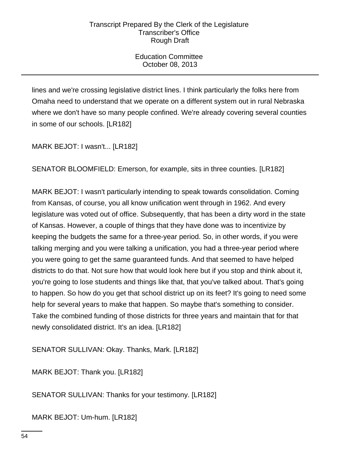Education Committee October 08, 2013

lines and we're crossing legislative district lines. I think particularly the folks here from Omaha need to understand that we operate on a different system out in rural Nebraska where we don't have so many people confined. We're already covering several counties in some of our schools. [LR182]

MARK BEJOT: I wasn't... [LR182]

SENATOR BLOOMFIELD: Emerson, for example, sits in three counties. [LR182]

MARK BEJOT: I wasn't particularly intending to speak towards consolidation. Coming from Kansas, of course, you all know unification went through in 1962. And every legislature was voted out of office. Subsequently, that has been a dirty word in the state of Kansas. However, a couple of things that they have done was to incentivize by keeping the budgets the same for a three-year period. So, in other words, if you were talking merging and you were talking a unification, you had a three-year period where you were going to get the same guaranteed funds. And that seemed to have helped districts to do that. Not sure how that would look here but if you stop and think about it, you're going to lose students and things like that, that you've talked about. That's going to happen. So how do you get that school district up on its feet? It's going to need some help for several years to make that happen. So maybe that's something to consider. Take the combined funding of those districts for three years and maintain that for that newly consolidated district. It's an idea. [LR182]

SENATOR SULLIVAN: Okay. Thanks, Mark. [LR182]

MARK BEJOT: Thank you. [LR182]

SENATOR SULLIVAN: Thanks for your testimony. [LR182]

MARK BEJOT: Um-hum. [LR182]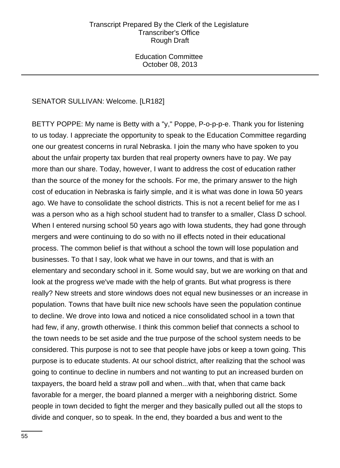Education Committee October 08, 2013

# SENATOR SULLIVAN: Welcome. [LR182]

BETTY POPPE: My name is Betty with a "y," Poppe, P-o-p-p-e. Thank you for listening to us today. I appreciate the opportunity to speak to the Education Committee regarding one our greatest concerns in rural Nebraska. I join the many who have spoken to you about the unfair property tax burden that real property owners have to pay. We pay more than our share. Today, however, I want to address the cost of education rather than the source of the money for the schools. For me, the primary answer to the high cost of education in Nebraska is fairly simple, and it is what was done in Iowa 50 years ago. We have to consolidate the school districts. This is not a recent belief for me as I was a person who as a high school student had to transfer to a smaller, Class D school. When I entered nursing school 50 years ago with Iowa students, they had gone through mergers and were continuing to do so with no ill effects noted in their educational process. The common belief is that without a school the town will lose population and businesses. To that I say, look what we have in our towns, and that is with an elementary and secondary school in it. Some would say, but we are working on that and look at the progress we've made with the help of grants. But what progress is there really? New streets and store windows does not equal new businesses or an increase in population. Towns that have built nice new schools have seen the population continue to decline. We drove into Iowa and noticed a nice consolidated school in a town that had few, if any, growth otherwise. I think this common belief that connects a school to the town needs to be set aside and the true purpose of the school system needs to be considered. This purpose is not to see that people have jobs or keep a town going. This purpose is to educate students. At our school district, after realizing that the school was going to continue to decline in numbers and not wanting to put an increased burden on taxpayers, the board held a straw poll and when...with that, when that came back favorable for a merger, the board planned a merger with a neighboring district. Some people in town decided to fight the merger and they basically pulled out all the stops to divide and conquer, so to speak. In the end, they boarded a bus and went to the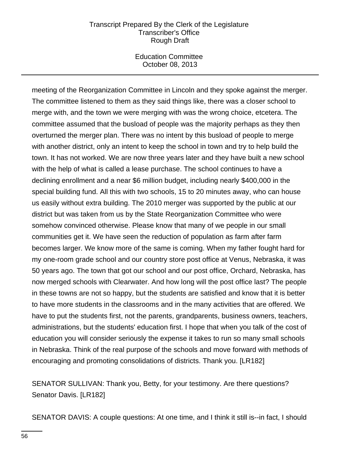Education Committee October 08, 2013

meeting of the Reorganization Committee in Lincoln and they spoke against the merger. The committee listened to them as they said things like, there was a closer school to merge with, and the town we were merging with was the wrong choice, etcetera. The committee assumed that the busload of people was the majority perhaps as they then overturned the merger plan. There was no intent by this busload of people to merge with another district, only an intent to keep the school in town and try to help build the town. It has not worked. We are now three years later and they have built a new school with the help of what is called a lease purchase. The school continues to have a declining enrollment and a near \$6 million budget, including nearly \$400,000 in the special building fund. All this with two schools, 15 to 20 minutes away, who can house us easily without extra building. The 2010 merger was supported by the public at our district but was taken from us by the State Reorganization Committee who were somehow convinced otherwise. Please know that many of we people in our small communities get it. We have seen the reduction of population as farm after farm becomes larger. We know more of the same is coming. When my father fought hard for my one-room grade school and our country store post office at Venus, Nebraska, it was 50 years ago. The town that got our school and our post office, Orchard, Nebraska, has now merged schools with Clearwater. And how long will the post office last? The people in these towns are not so happy, but the students are satisfied and know that it is better to have more students in the classrooms and in the many activities that are offered. We have to put the students first, not the parents, grandparents, business owners, teachers, administrations, but the students' education first. I hope that when you talk of the cost of education you will consider seriously the expense it takes to run so many small schools in Nebraska. Think of the real purpose of the schools and move forward with methods of encouraging and promoting consolidations of districts. Thank you. [LR182]

SENATOR SULLIVAN: Thank you, Betty, for your testimony. Are there questions? Senator Davis. [LR182]

SENATOR DAVIS: A couple questions: At one time, and I think it still is--in fact, I should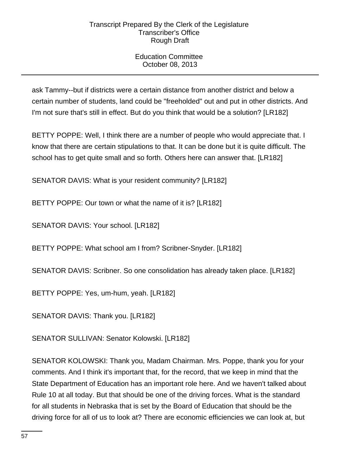# Education Committee October 08, 2013

ask Tammy--but if districts were a certain distance from another district and below a certain number of students, land could be "freeholded" out and put in other districts. And I'm not sure that's still in effect. But do you think that would be a solution? [LR182]

BETTY POPPE: Well, I think there are a number of people who would appreciate that. I know that there are certain stipulations to that. It can be done but it is quite difficult. The school has to get quite small and so forth. Others here can answer that. [LR182]

SENATOR DAVIS: What is your resident community? [LR182]

BETTY POPPE: Our town or what the name of it is? [LR182]

SENATOR DAVIS: Your school. [LR182]

BETTY POPPE: What school am I from? Scribner-Snyder. [LR182]

SENATOR DAVIS: Scribner. So one consolidation has already taken place. [LR182]

BETTY POPPE: Yes, um-hum, yeah. [LR182]

SENATOR DAVIS: Thank you. [LR182]

SENATOR SULLIVAN: Senator Kolowski. [LR182]

SENATOR KOLOWSKI: Thank you, Madam Chairman. Mrs. Poppe, thank you for your comments. And I think it's important that, for the record, that we keep in mind that the State Department of Education has an important role here. And we haven't talked about Rule 10 at all today. But that should be one of the driving forces. What is the standard for all students in Nebraska that is set by the Board of Education that should be the driving force for all of us to look at? There are economic efficiencies we can look at, but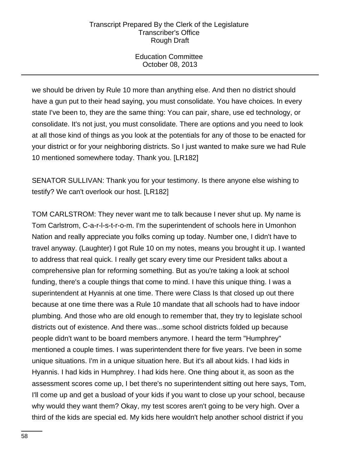Education Committee October 08, 2013

we should be driven by Rule 10 more than anything else. And then no district should have a gun put to their head saying, you must consolidate. You have choices. In every state I've been to, they are the same thing: You can pair, share, use ed technology, or consolidate. It's not just, you must consolidate. There are options and you need to look at all those kind of things as you look at the potentials for any of those to be enacted for your district or for your neighboring districts. So I just wanted to make sure we had Rule 10 mentioned somewhere today. Thank you. [LR182]

SENATOR SULLIVAN: Thank you for your testimony. Is there anyone else wishing to testify? We can't overlook our host. [LR182]

TOM CARLSTROM: They never want me to talk because I never shut up. My name is Tom Carlstrom, C-a-r-l-s-t-r-o-m. I'm the superintendent of schools here in Umonhon Nation and really appreciate you folks coming up today. Number one, I didn't have to travel anyway. (Laughter) I got Rule 10 on my notes, means you brought it up. I wanted to address that real quick. I really get scary every time our President talks about a comprehensive plan for reforming something. But as you're taking a look at school funding, there's a couple things that come to mind. I have this unique thing. I was a superintendent at Hyannis at one time. There were Class Is that closed up out there because at one time there was a Rule 10 mandate that all schools had to have indoor plumbing. And those who are old enough to remember that, they try to legislate school districts out of existence. And there was...some school districts folded up because people didn't want to be board members anymore. I heard the term "Humphrey" mentioned a couple times. I was superintendent there for five years. I've been in some unique situations. I'm in a unique situation here. But it's all about kids. I had kids in Hyannis. I had kids in Humphrey. I had kids here. One thing about it, as soon as the assessment scores come up, I bet there's no superintendent sitting out here says, Tom, I'll come up and get a busload of your kids if you want to close up your school, because why would they want them? Okay, my test scores aren't going to be very high. Over a third of the kids are special ed. My kids here wouldn't help another school district if you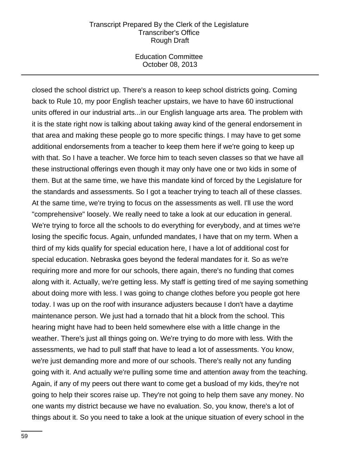Education Committee October 08, 2013

closed the school district up. There's a reason to keep school districts going. Coming back to Rule 10, my poor English teacher upstairs, we have to have 60 instructional units offered in our industrial arts...in our English language arts area. The problem with it is the state right now is talking about taking away kind of the general endorsement in that area and making these people go to more specific things. I may have to get some additional endorsements from a teacher to keep them here if we're going to keep up with that. So I have a teacher. We force him to teach seven classes so that we have all these instructional offerings even though it may only have one or two kids in some of them. But at the same time, we have this mandate kind of forced by the Legislature for the standards and assessments. So I got a teacher trying to teach all of these classes. At the same time, we're trying to focus on the assessments as well. I'll use the word "comprehensive" loosely. We really need to take a look at our education in general. We're trying to force all the schools to do everything for everybody, and at times we're losing the specific focus. Again, unfunded mandates, I have that on my term. When a third of my kids qualify for special education here, I have a lot of additional cost for special education. Nebraska goes beyond the federal mandates for it. So as we're requiring more and more for our schools, there again, there's no funding that comes along with it. Actually, we're getting less. My staff is getting tired of me saying something about doing more with less. I was going to change clothes before you people got here today. I was up on the roof with insurance adjusters because I don't have a daytime maintenance person. We just had a tornado that hit a block from the school. This hearing might have had to been held somewhere else with a little change in the weather. There's just all things going on. We're trying to do more with less. With the assessments, we had to pull staff that have to lead a lot of assessments. You know, we're just demanding more and more of our schools. There's really not any funding going with it. And actually we're pulling some time and attention away from the teaching. Again, if any of my peers out there want to come get a busload of my kids, they're not going to help their scores raise up. They're not going to help them save any money. No one wants my district because we have no evaluation. So, you know, there's a lot of things about it. So you need to take a look at the unique situation of every school in the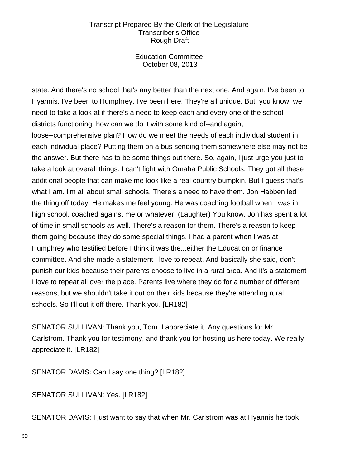Education Committee October 08, 2013

state. And there's no school that's any better than the next one. And again, I've been to Hyannis. I've been to Humphrey. I've been here. They're all unique. But, you know, we need to take a look at if there's a need to keep each and every one of the school districts functioning, how can we do it with some kind of--and again,

loose--comprehensive plan? How do we meet the needs of each individual student in each individual place? Putting them on a bus sending them somewhere else may not be the answer. But there has to be some things out there. So, again, I just urge you just to take a look at overall things. I can't fight with Omaha Public Schools. They got all these additional people that can make me look like a real country bumpkin. But I guess that's what I am. I'm all about small schools. There's a need to have them. Jon Habben led the thing off today. He makes me feel young. He was coaching football when I was in high school, coached against me or whatever. (Laughter) You know, Jon has spent a lot of time in small schools as well. There's a reason for them. There's a reason to keep them going because they do some special things. I had a parent when I was at Humphrey who testified before I think it was the...either the Education or finance committee. And she made a statement I love to repeat. And basically she said, don't punish our kids because their parents choose to live in a rural area. And it's a statement I love to repeat all over the place. Parents live where they do for a number of different reasons, but we shouldn't take it out on their kids because they're attending rural schools. So I'll cut it off there. Thank you. [LR182]

SENATOR SULLIVAN: Thank you, Tom. I appreciate it. Any questions for Mr. Carlstrom. Thank you for testimony, and thank you for hosting us here today. We really appreciate it. [LR182]

SENATOR DAVIS: Can I say one thing? [LR182]

SENATOR SULLIVAN: Yes. [LR182]

SENATOR DAVIS: I just want to say that when Mr. Carlstrom was at Hyannis he took